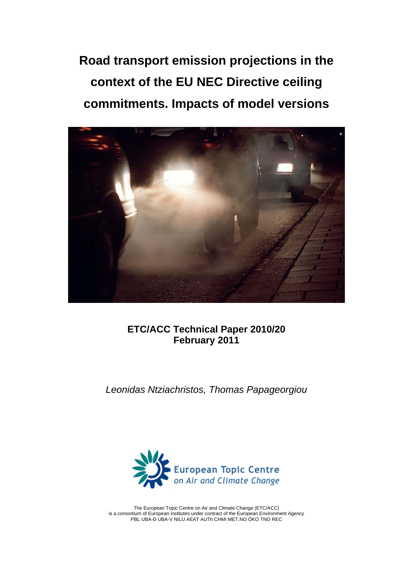**Road transport emission projections in the context of the EU NEC Directive ceiling commitments. Impacts of model versions** 



**ETC/ACC Technical Paper 2010/20 February 2011** 

*Leonidas Ntziachristos, Thomas Papageorgiou* 



The European Topic Centre on Air and Climate Change (ETC/ACC) is a consortium of European institutes under contract of the European Environment Agency PBL UBA-D UBA-V NILU AEAT AUTh CHMI MET.NO ÖKO TNO REC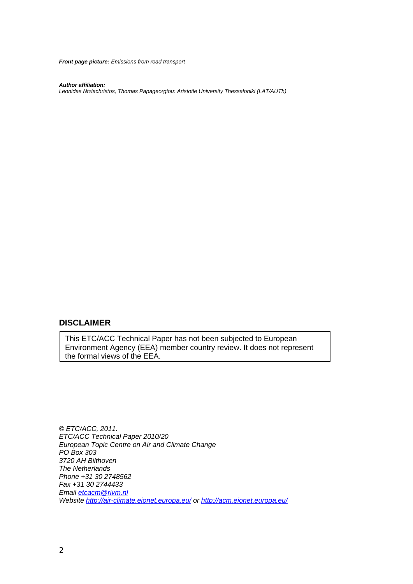*Front page picture: Emissions from road transport* 

*Author affiliation:* 

*Leonidas Ntziachristos, Thomas Papageorgiou: Aristotle University Thessaloniki (LAT/AUTh)* 

#### **DISCLAIMER**

This ETC/ACC Technical Paper has not been subjected to European Environment Agency (EEA) member country review. It does not represent the formal views of the EEA.

*© ETC/ACC, 2011. ETC/ACC Technical Paper 2010/20 European Topic Centre on Air and Climate Change PO Box 303 3720 AH Bilthoven The Netherlands Phone +31 30 2748562 Fax +31 30 2744433 Email [etcacm@rivm.nl](mailto:etcacm@rivm.nl) Website<http://air-climate.eionet.europa.eu/>or<http://acm.eionet.europa.eu/>*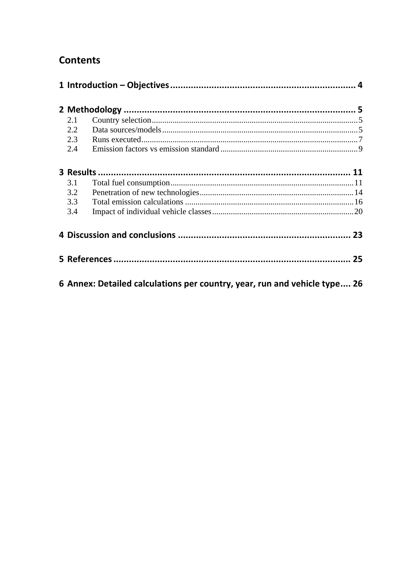## **Contents**

| 2.1 |                                                                           |  |
|-----|---------------------------------------------------------------------------|--|
| 2.2 |                                                                           |  |
| 2.3 |                                                                           |  |
| 2.4 |                                                                           |  |
|     |                                                                           |  |
| 3.1 |                                                                           |  |
| 3.2 |                                                                           |  |
| 3.3 |                                                                           |  |
| 3.4 |                                                                           |  |
|     |                                                                           |  |
|     |                                                                           |  |
|     | 6 Annex: Detailed calculations per country, year, run and vehicle type 26 |  |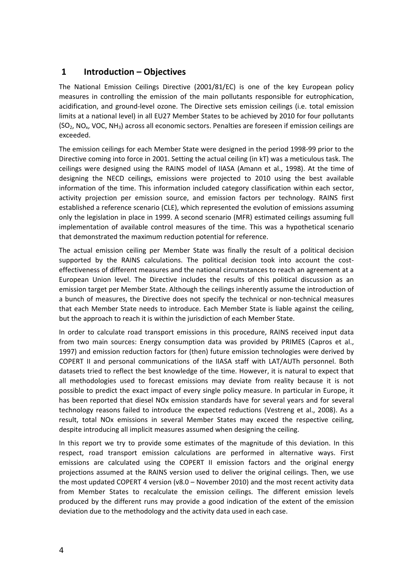### <span id="page-3-0"></span>**1 Introduction – Objectives**

The National Emission Ceilings Directive (2001/81/EC) is one of the key European policy measures in controlling the emission of the main pollutants responsible for eutrophication, acidification, and ground‐level ozone. The Directive sets emission ceilings (i.e. total emission limits at a national level) in all EU27 Member States to be achieved by 2010 for four pollutants (SO2, NOx, VOC, NH3) across all economic sectors. Penalties are foreseen if emission ceilings are exceeded.

The emission ceilings for each Member State were designed in the period 1998‐99 prior to the Directive coming into force in 2001. Setting the actual ceiling (in kT) was a meticulous task. The ceilings were designed using the RAINS model of IIASA (Amann et al., 1998). At the time of designing the NECD ceilings, emissions were projected to 2010 using the best available information of the time. This information included category classification within each sector, activity projection per emission source, and emission factors per technology. RAINS first established a reference scenario (CLE), which represented the evolution of emissions assuming only the legislation in place in 1999. A second scenario (MFR) estimated ceilings assuming full implementation of available control measures of the time. This was a hypothetical scenario that demonstrated the maximum reduction potential for reference.

The actual emission ceiling per Member State was finally the result of a political decision supported by the RAINS calculations. The political decision took into account the costeffectiveness of different measures and the national circumstances to reach an agreement at a European Union level. The Directive includes the results of this political discussion as an emission target per Member State. Although the ceilings inherently assume the introduction of a bunch of measures, the Directive does not specify the technical or non‐technical measures that each Member State needs to introduce. Each Member State is liable against the ceiling, but the approach to reach it is within the jurisdiction of each Member State.

In order to calculate road transport emissions in this procedure, RAINS received input data from two main sources: Energy consumption data was provided by PRIMES (Capros et al., 1997) and emission reduction factors for (then) future emission technologies were derived by COPERT II and personal communications of the IIASA staff with LAT/AUTh personnel. Both datasets tried to reflect the best knowledge of the time. However, it is natural to expect that all methodologies used to forecast emissions may deviate from reality because it is not possible to predict the exact impact of every single policy measure. In particular in Europe, it has been reported that diesel NOx emission standards have for several years and for several technology reasons failed to introduce the expected reductions (Vestreng et al., 2008). As a result, total NOx emissions in several Member States may exceed the respective ceiling, despite introducing all implicit measures assumed when designing the ceiling.

In this report we try to provide some estimates of the magnitude of this deviation. In this respect, road transport emission calculations are performed in alternative ways. First emissions are calculated using the COPERT II emission factors and the original energy projections assumed at the RAINS version used to deliver the original ceilings. Then, we use the most updated COPERT 4 version (v8.0 – November 2010) and the most recent activity data from Member States to recalculate the emission ceilings. The different emission levels produced by the different runs may provide a good indication of the extent of the emission deviation due to the methodology and the activity data used in each case.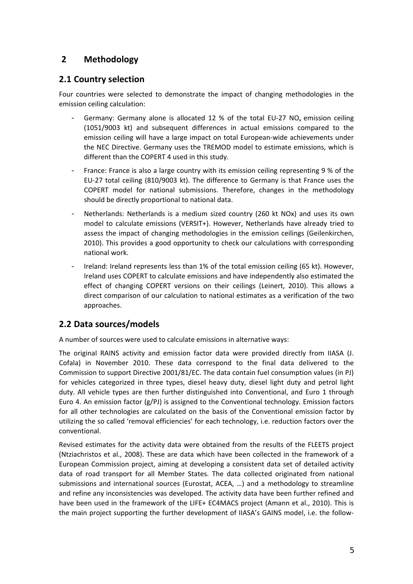## <span id="page-4-0"></span>**2 Methodology**

## **2.1 Country selection**

Four countries were selected to demonstrate the impact of changing methodologies in the emission ceiling calculation:

- Germany: Germany alone is allocated 12 % of the total EU-27 NO<sub>x</sub> emission ceiling (1051/9003 kt) and subsequent differences in actual emissions compared to the emission ceiling will have a large impact on total European-wide achievements under the NEC Directive. Germany uses the TREMOD model to estimate emissions, which is different than the COPERT 4 used in this study.
- France: France is also a large country with its emission ceiling representing 9 % of the EU‐27 total ceiling (810/9003 kt). The difference to Germany is that France uses the COPERT model for national submissions. Therefore, changes in the methodology should be directly proportional to national data.
- Netherlands: Netherlands is a medium sized country (260 kt NOx) and uses its own model to calculate emissions (VERSIT+). However, Netherlands have already tried to assess the impact of changing methodologies in the emission ceilings (Geilenkirchen, 2010). This provides a good opportunity to check our calculations with corresponding national work.
- Ireland: Ireland represents less than 1% of the total emission ceiling (65 kt). However, Ireland uses COPERT to calculate emissions and have independently also estimated the effect of changing COPERT versions on their ceilings (Leinert, 2010). This allows a direct comparison of our calculation to national estimates as a verification of the two approaches.

## **2.2 Data sources/models**

A number of sources were used to calculate emissions in alternative ways:

The original RAINS activity and emission factor data were provided directly from IIASA (J. Cofala) in November 2010. These data correspond to the final data delivered to the Commission to support Directive 2001/81/EC. The data contain fuel consumption values (in PJ) for vehicles categorized in three types, diesel heavy duty, diesel light duty and petrol light duty. All vehicle types are then further distinguished into Conventional, and Euro 1 through Euro 4. An emission factor  $(g/PJ)$  is assigned to the Conventional technology. Emission factors for all other technologies are calculated on the basis of the Conventional emission factor by utilizing the so called 'removal efficiencies' for each technology, i.e. reduction factors over the conventional.

Revised estimates for the activity data were obtained from the results of the FLEETS project (Ntziachristos et al., 2008). These are data which have been collected in the framework of a European Commission project, aiming at developing a consistent data set of detailed activity data of road transport for all Member States. The data collected originated from national submissions and international sources (Eurostat, ACEA, …) and a methodology to streamline and refine any inconsistencies was developed. The activity data have been further refined and have been used in the framework of the LIFE+ EC4MACS project (Amann et al., 2010). This is the main project supporting the further development of IIASA's GAINS model, i.e. the follow‐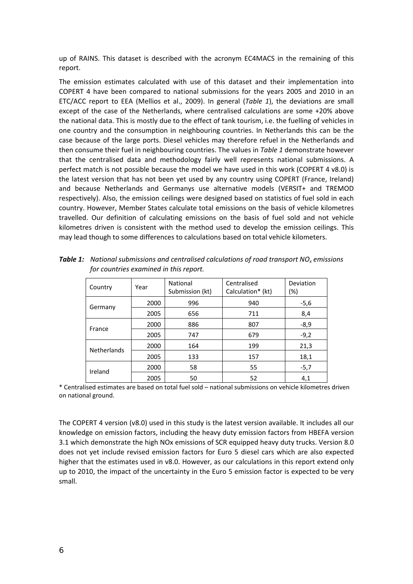<span id="page-5-0"></span>up of RAINS. This dataset is described with the acronym EC4MACS in the remaining of this report.

The emission estimates calculated with use of this dataset and their implementation into COPERT 4 have been compared to national submissions for the years 2005 and 2010 in an ETC/ACC report to EEA (Mellios et al., 2009). In general (*[Table](#page-5-0) 1*), the deviations are small except of the case of the Netherlands, where centralised calculations are some +20% above the national data. This is mostly due to the effect of tank tourism, i.e. the fuelling of vehicles in one country and the consumption in neighbouring countries. In Netherlands this can be the case because of the large ports. Diesel vehicles may therefore refuel in the Netherlands and then consume their fuel in neighbouring countries. The values in *[Table](#page-5-0) 1* demonstrate however that the centralised data and methodology fairly well represents national submissions. A perfect match is not possible because the model we have used in this work (COPERT 4 v8.0) is the latest version that has not been yet used by any country using COPERT (France, Ireland) and because Netherlands and Germanys use alternative models (VERSIT+ and TREMOD respectively). Also, the emission ceilings were designed based on statistics of fuel sold in each country. However, Member States calculate total emissions on the basis of vehicle kilometres travelled. Our definition of calculating emissions on the basis of fuel sold and not vehicle kilometres driven is consistent with the method used to develop the emission ceilings. This may lead though to some differences to calculations based on total vehicle kilometers.

| Country            | Year | National<br>Submission (kt) | Centralised<br>Calculation* (kt) | Deviation<br>(%) |
|--------------------|------|-----------------------------|----------------------------------|------------------|
| Germany            | 2000 | 996                         | 940                              | $-5,6$           |
|                    | 2005 | 656                         | 711                              | 8,4              |
| France             | 2000 | 886                         | 807                              | $-8,9$           |
|                    | 2005 | 747                         | 679                              | $-9,2$           |
| <b>Netherlands</b> | 2000 | 164                         | 199                              | 21,3             |
|                    | 2005 | 133                         | 157                              | 18,1             |
| Ireland            | 2000 | 58                          | 55                               | $-5,7$           |
|                    | 2005 | 50                          | 52                               | 4,1              |

*Table 1: National submissions and centralised calculations of road transport NOx emissions for countries examined in this report.* 

\* Centralised estimates are based on total fuel sold – national submissions on vehicle kilometres driven on national ground.

The COPERT 4 version (v8.0) used in this study is the latest version available. It includes all our knowledge on emission factors, including the heavy duty emission factors from HBEFA version 3.1 which demonstrate the high NOx emissions of SCR equipped heavy duty trucks. Version 8.0 does not yet include revised emission factors for Euro 5 diesel cars which are also expected higher that the estimates used in v8.0. However, as our calculations in this report extend only up to 2010, the impact of the uncertainty in the Euro 5 emission factor is expected to be very small.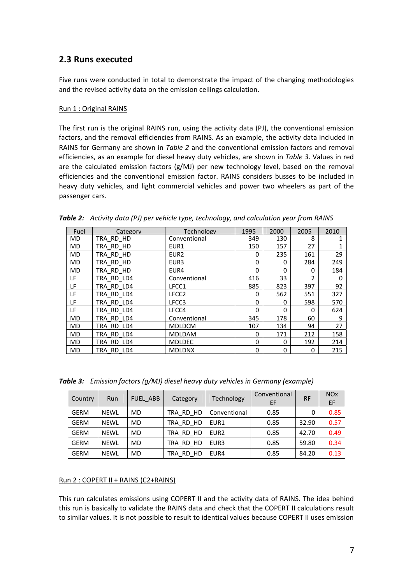### <span id="page-6-0"></span>**2.3 Runs executed**

Five runs were conducted in total to demonstrate the impact of the changing methodologies and the revised activity data on the emission ceilings calculation.

#### Run 1 : Original RAINS

The first run is the original RAINS run, using the activity data (PJ), the conventional emission factors, and the removal efficiencies from RAINS. As an example, the activity data included in RAINS for Germany are shown in *[Table](#page-6-0) 2* and the conventional emission factors and removal efficiencies, as an example for diesel heavy duty vehicles, are shown in *[Table](#page-6-0) 3*. Values in red are the calculated emission factors  $(g/MJ)$  per new technology level, based on the removal efficiencies and the conventional emission factor. RAINS considers busses to be included in heavy duty vehicles, and light commercial vehicles and power two wheelers as part of the passenger cars.

| Fuel      | Category      | Technology        | 1995     | 2000     | 2005 | 2010 |
|-----------|---------------|-------------------|----------|----------|------|------|
| MD        | TRA RD HD     | Conventional      | 349      | 130      | 8    |      |
| MD        | TRA RD HD     | EUR1              | 150      | 157      | 27   |      |
| MD        | TRA RD HD     | EUR <sub>2</sub>  | 0        | 235      | 161  | 29   |
| MD        | TRA RD HD     | EUR <sub>3</sub>  | $\Omega$ | $\Omega$ | 284  | 249  |
| MD        | TRA RD HD     | EUR4              | $\Omega$ | $\Omega$ | 0    | 184  |
| LF        | TRA RD LD4    | Conventional      | 416      | 33       | 2    | 0    |
| LF        | TRA RD LD4    | LFCC1             | 885      | 823      | 397  | 92   |
| LF        | TRA RD LD4    | LFCC <sub>2</sub> | 0        | 562      | 551  | 327  |
| LF        | TRA RD LD4    | LFCC3             | $\Omega$ | 0        | 598  | 570  |
| LF        | TRA RD LD4    | LFCC4             | $\Omega$ | 0        | 0    | 624  |
| <b>MD</b> | LD4<br>TRA RD | Conventional      | 345      | 178      | 60   | 9    |
| MD        | TRA RD LD4    | <b>MDLDCM</b>     | 107      | 134      | 94   | 27   |
| MD        | TRA RD LD4    | <b>MDLDAM</b>     | 0        | 171      | 212  | 158  |
| MD        | RD LD4<br>TRA | <b>MDLDEC</b>     | 0        | 0        | 192  | 214  |
| <b>MD</b> | TRA RD LD4    | <b>MDLDNX</b>     | $\Omega$ | 0        | 0    | 215  |

*Table 2: Activity data (PJ) per vehicle type, technology, and calculation year from RAINS*

*Table 3: Emission factors (g/MJ) diesel heavy duty vehicles in Germany (example)*

| Country     | Run         | <b>FUEL ABB</b> | Category  | Technology       | Conventional<br>EF | <b>RF</b> | <b>NO<sub>x</sub></b><br>EF |
|-------------|-------------|-----------------|-----------|------------------|--------------------|-----------|-----------------------------|
| <b>GERM</b> | <b>NEWL</b> | MD              | TRA RD HD | Conventional     | 0.85               | 0         | 0.85                        |
| <b>GERM</b> | <b>NEWL</b> | <b>MD</b>       | TRA RD HD | EUR <sub>1</sub> | 0.85               | 32.90     | 0.57                        |
| <b>GERM</b> | <b>NEWL</b> | <b>MD</b>       | TRA RD HD | EUR <sub>2</sub> | 0.85               | 42.70     | 0.49                        |
| <b>GERM</b> | <b>NEWL</b> | <b>MD</b>       | TRA RD HD | EUR <sub>3</sub> | 0.85               | 59.80     | 0.34                        |
| <b>GERM</b> | <b>NEWL</b> | <b>MD</b>       | TRA RD HD | EUR4             | 0.85               | 84.20     | 0.13                        |

#### Run 2 : COPERT II + RAINS (C2+RAINS)

This run calculates emissions using COPERT II and the activity data of RAINS. The idea behind this run is basically to validate the RAINS data and check that the COPERT II calculations result to similar values. It is not possible to result to identical values because COPERT II uses emission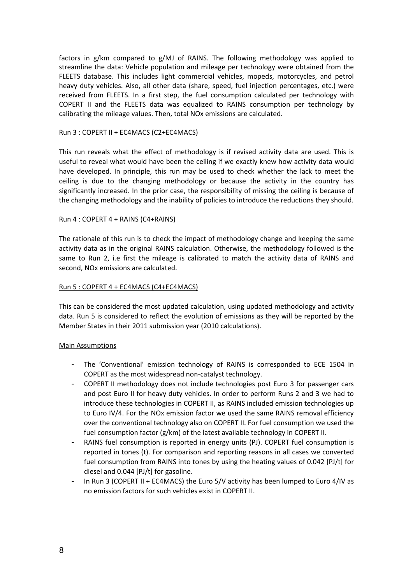factors in g/km compared to g/MJ of RAINS. The following methodology was applied to streamline the data: Vehicle population and mileage per technology were obtained from the FLEETS database. This includes light commercial vehicles, mopeds, motorcycles, and petrol heavy duty vehicles. Also, all other data (share, speed, fuel injection percentages, etc.) were received from FLEETS. In a first step, the fuel consumption calculated per technology with COPERT II and the FLEETS data was equalized to RAINS consumption per technology by calibrating the mileage values. Then, total NOx emissions are calculated.

#### Run 3 : COPERT II + EC4MACS (C2+EC4MACS)

This run reveals what the effect of methodology is if revised activity data are used. This is useful to reveal what would have been the ceiling if we exactly knew how activity data would have developed. In principle, this run may be used to check whether the lack to meet the ceiling is due to the changing methodology or because the activity in the country has significantly increased. In the prior case, the responsibility of missing the ceiling is because of the changing methodology and the inability of policies to introduce the reductions they should.

#### Run 4 : COPERT 4 + RAINS (C4+RAINS)

The rationale of this run is to check the impact of methodology change and keeping the same activity data as in the original RAINS calculation. Otherwise, the methodology followed is the same to Run 2, i.e first the mileage is calibrated to match the activity data of RAINS and second, NOx emissions are calculated.

#### Run 5 : COPERT 4 + EC4MACS (C4+EC4MACS)

This can be considered the most updated calculation, using updated methodology and activity data. Run 5 is considered to reflect the evolution of emissions as they will be reported by the Member States in their 2011 submission year (2010 calculations).

#### Main Assumptions

- The 'Conventional' emission technology of RAINS is corresponded to ECE 1504 in COPERT as the most widespread non‐catalyst technology.
- COPERT II methodology does not include technologies post Euro 3 for passenger cars and post Euro II for heavy duty vehicles. In order to perform Runs 2 and 3 we had to introduce these technologies in COPERT II, as RAINS included emission technologies up to Euro IV/4. For the NOx emission factor we used the same RAINS removal efficiency over the conventional technology also on COPERT II. For fuel consumption we used the fuel consumption factor (g/km) of the latest available technology in COPERT II.
- RAINS fuel consumption is reported in energy units (PJ). COPERT fuel consumption is reported in tones (t). For comparison and reporting reasons in all cases we converted fuel consumption from RAINS into tones by using the heating values of 0.042 [PJ/t] for diesel and 0.044 [PJ/t] for gasoline.
- In Run 3 (COPERT II + EC4MACS) the Euro 5/V activity has been lumped to Euro 4/IV as no emission factors for such vehicles exist in COPERT II.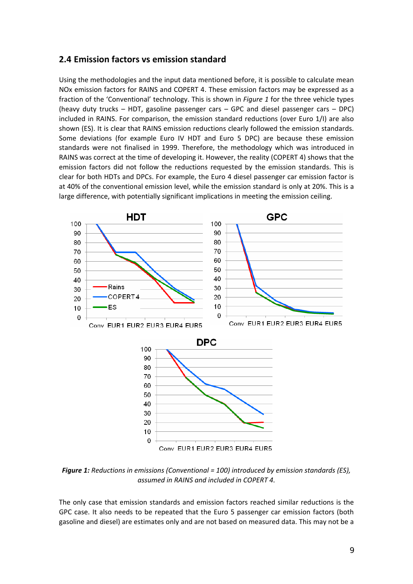#### <span id="page-8-0"></span>**2.4 Emission factors vs emission standard**

Using the methodologies and the input data mentioned before, it is possible to calculate mean NOx emission factors for RAINS and COPERT 4. These emission factors may be expressed as a fraction of the 'Conventional' technology. This is shown in *[Figure](#page-8-0) 1* for the three vehicle types (heavy duty trucks – HDT, gasoline passenger cars – GPC and diesel passenger cars – DPC) included in RAINS. For comparison, the emission standard reductions (over Euro 1/I) are also shown (ES). It is clear that RAINS emission reductions clearly followed the emission standards. Some deviations (for example Euro IV HDT and Euro 5 DPC) are because these emission standards were not finalised in 1999. Therefore, the methodology which was introduced in RAINS was correct at the time of developing it. However, the reality (COPERT 4) shows that the emission factors did not follow the reductions requested by the emission standards. This is clear for both HDTs and DPCs. For example, the Euro 4 diesel passenger car emission factor is at 40% of the conventional emission level, while the emission standard is only at 20%. This is a large difference, with potentially significant implications in meeting the emission ceiling.



*Figure 1: Reductions in emissions (Conventional = 100) introduced by emission standards (ES), assumed in RAINS and included in COPERT 4.*

The only case that emission standards and emission factors reached similar reductions is the GPC case. It also needs to be repeated that the Euro 5 passenger car emission factors (both gasoline and diesel) are estimates only and are not based on measured data. This may not be a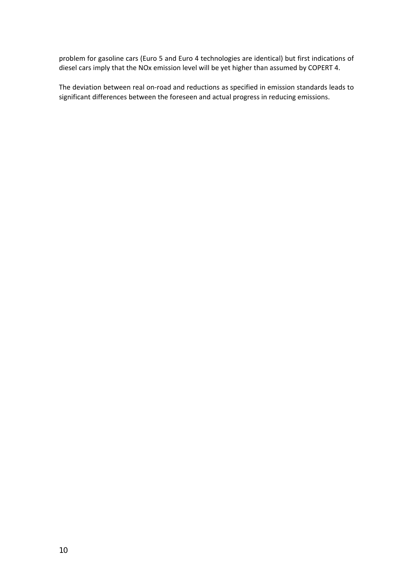problem for gasoline cars (Euro 5 and Euro 4 technologies are identical) but first indications of diesel cars imply that the NOx emission level will be yet higher than assumed by COPERT 4.

The deviation between real on-road and reductions as specified in emission standards leads to significant differences between the foreseen and actual progress in reducing emissions.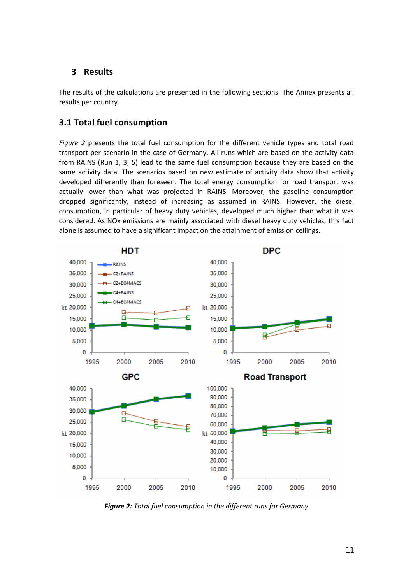### <span id="page-10-0"></span>**3 Results**

The results of the calculations are presented in the following sections. The Annex presents all results per country.

### **3.1 Total fuel consumption**

*[Figure](#page-10-0) 2* presents the total fuel consumption for the different vehicle types and total road transport per scenario in the case of Germany. All runs which are based on the activity data from RAINS (Run 1, 3, 5) lead to the same fuel consumption because they are based on the same activity data. The scenarios based on new estimate of activity data show that activity developed differently than foreseen. The total energy consumption for road transport was actually lower than what was projected in RAINS. Moreover, the gasoline consumption dropped significantly, instead of increasing as assumed in RAINS. However, the diesel consumption, in particular of heavy duty vehicles, developed much higher than what it was considered. As NOx emissions are mainly associated with diesel heavy duty vehicles, this fact alone is assumed to have a significant impact on the attainment of emission ceilings.



*Figure 2: Total fuel consumption in the different runs for Germany*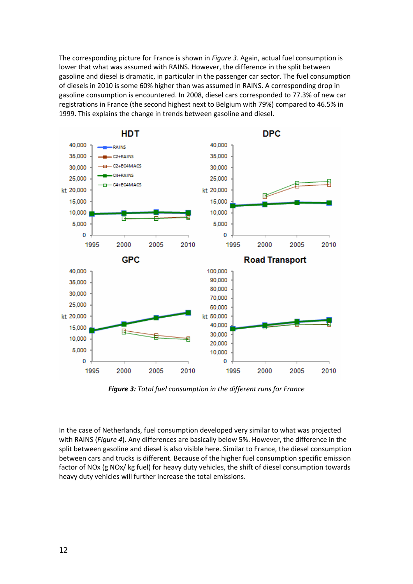The corresponding picture for France is shown in *Figure 3*. Again, actual fuel consumption is lower that what was assumed with RAINS. However, the difference in the split between gasoline and diesel is dramatic, in particular in the passenger car sector. The fuel consumption of diesels in 2010 is some 60% higher than was assumed in RAINS. A corresponding drop in gasoline consumption is encountered. In 2008, diesel cars corresponded to 77.3% of new car registrations in France (the second highest next to Belgium with 79%) compared to 46.5% in 1999. This explains the change in trends between gasoline and diesel.



*Figure 3: Total fuel consumption in the different runs for France*

In the case of Netherlands, fuel consumption developed very similar to what was projected with RAINS (*[Figure](#page-12-0) 4*). Any differences are basically below 5%. However, the difference in the split between gasoline and diesel is also visible here. Similar to France, the diesel consumption between cars and trucks is different. Because of the higher fuel consumption specific emission factor of NOx (g NOx/ kg fuel) for heavy duty vehicles, the shift of diesel consumption towards heavy duty vehicles will further increase the total emissions.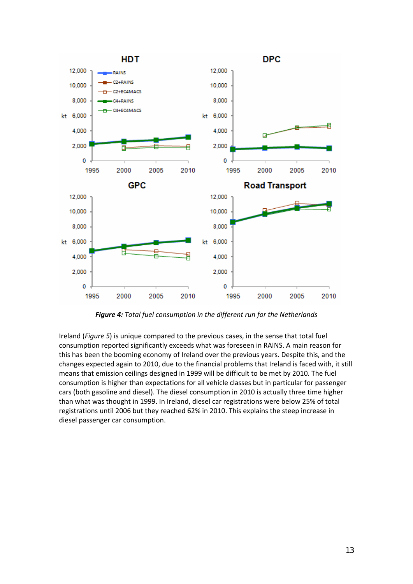<span id="page-12-0"></span>

*Figure 4: Total fuel consumption in the different run for the Netherlands*

Ireland (*[Figure](#page-13-0) 5*) is unique compared to the previous cases, in the sense that total fuel consumption reported significantly exceeds what was foreseen in RAINS. A main reason for this has been the booming economy of Ireland over the previous years. Despite this, and the changes expected again to 2010, due to the financial problems that Ireland is faced with, it still means that emission ceilings designed in 1999 will be difficult to be met by 2010. The fuel consumption is higher than expectations for all vehicle classes but in particular for passenger cars (both gasoline and diesel). The diesel consumption in 2010 is actually three time higher than what was thought in 1999. In Ireland, diesel car registrations were below 25% of total registrations until 2006 but they reached 62% in 2010. This explains the steep increase in diesel passenger car consumption.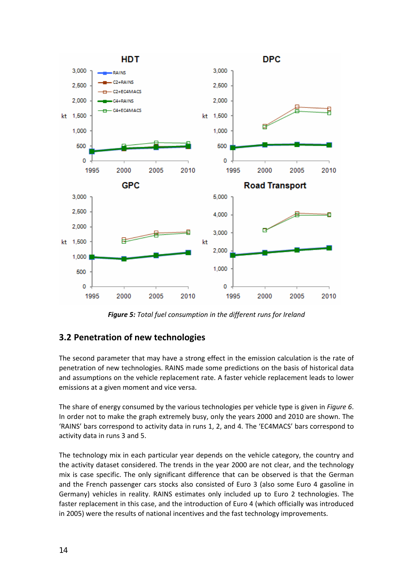<span id="page-13-0"></span>

*Figure 5: Total fuel consumption in the different runs for Ireland*

## **3.2 Penetration of new technologies**

The second parameter that may have a strong effect in the emission calculation is the rate of penetration of new technologies. RAINS made some predictions on the basis of historical data and assumptions on the vehicle replacement rate. A faster vehicle replacement leads to lower emissions at a given moment and vice versa.

The share of energy consumed by the various technologies per vehicle type is given in *[Figure](#page-14-0) 6*. In order not to make the graph extremely busy, only the years 2000 and 2010 are shown. The 'RAINS' bars correspond to activity data in runs 1, 2, and 4. The 'EC4MACS' bars correspond to activity data in runs 3 and 5.

The technology mix in each particular year depends on the vehicle category, the country and the activity dataset considered. The trends in the year 2000 are not clear, and the technology mix is case specific. The only significant difference that can be observed is that the German and the French passenger cars stocks also consisted of Euro 3 (also some Euro 4 gasoline in Germany) vehicles in reality. RAINS estimates only included up to Euro 2 technologies. The faster replacement in this case, and the introduction of Euro 4 (which officially was introduced in 2005) were the results of national incentives and the fast technology improvements.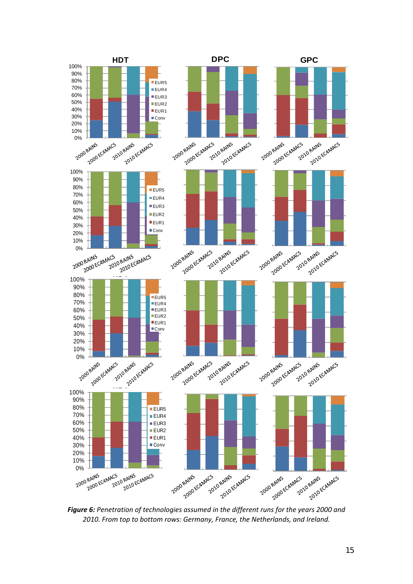<span id="page-14-0"></span>

*Figure 6: Penetration of technologies assumed in the different runs for the years 2000 and 2010. From top to bottom rows: Germany, France, the Netherlands, and Ireland.*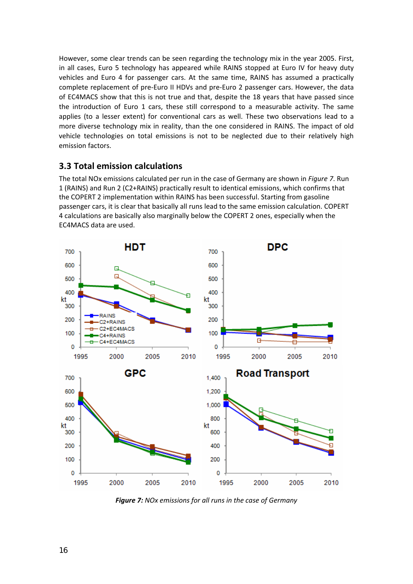<span id="page-15-0"></span>However, some clear trends can be seen regarding the technology mix in the year 2005. First, in all cases, Euro 5 technology has appeared while RAINS stopped at Euro IV for heavy duty vehicles and Euro 4 for passenger cars. At the same time, RAINS has assumed a practically complete replacement of pre‐Euro II HDVs and pre‐Euro 2 passenger cars. However, the data of EC4MACS show that this is not true and that, despite the 18 years that have passed since the introduction of Euro 1 cars, these still correspond to a measurable activity. The same applies (to a lesser extent) for conventional cars as well. These two observations lead to a more diverse technology mix in reality, than the one considered in RAINS. The impact of old vehicle technologies on total emissions is not to be neglected due to their relatively high emission factors.

### **3.3 Total emission calculations**

The total NOx emissions calculated per run in the case of Germany are shown in *[Figure](#page-15-0) 7*. Run 1 (RAINS) and Run 2 (C2+RAINS) practically result to identical emissions, which confirms that the COPERT 2 implementation within RAINS has been successful. Starting from gasoline passenger cars, it is clear that basically all runs lead to the same emission calculation. COPERT 4 calculations are basically also marginally below the COPERT 2 ones, especially when the EC4MACS data are used.



*Figure 7: NOx emissions for all runs in the case of Germany*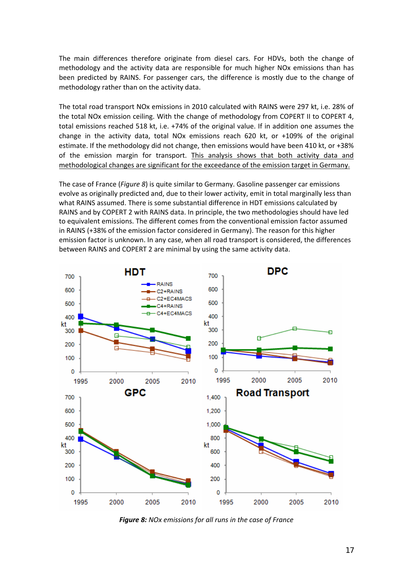<span id="page-16-0"></span>The main differences therefore originate from diesel cars. For HDVs, both the change of methodology and the activity data are responsible for much higher NOx emissions than has been predicted by RAINS. For passenger cars, the difference is mostly due to the change of methodology rather than on the activity data.

The total road transport NOx emissions in 2010 calculated with RAINS were 297 kt, i.e. 28% of the total NOx emission ceiling. With the change of methodology from COPERT II to COPERT 4, total emissions reached 518 kt, i.e. +74% of the original value. If in addition one assumes the change in the activity data, total NOx emissions reach 620 kt, or +109% of the original estimate. If the methodology did not change, then emissions would have been 410 kt, or +38% of the emission margin for transport. This analysis shows that both activity data and methodological changes are significant for the exceedance of the emission target in Germany.

The case of France (*[Figure](#page-16-0) 8*) is quite similar to Germany. Gasoline passenger car emissions evolve as originally predicted and, due to their lower activity, emit in total marginally less than what RAINS assumed. There is some substantial difference in HDT emissions calculated by RAINS and by COPERT 2 with RAINS data. In principle, the two methodologies should have led to equivalent emissions. The different comes from the conventional emission factor assumed in RAINS (+38% of the emission factor considered in Germany). The reason for this higher emission factor is unknown. In any case, when all road transport is considered, the differences between RAINS and COPERT 2 are minimal by using the same activity data.

![](_page_16_Figure_3.jpeg)

*Figure 8: NOx emissions for all runs in the case of France*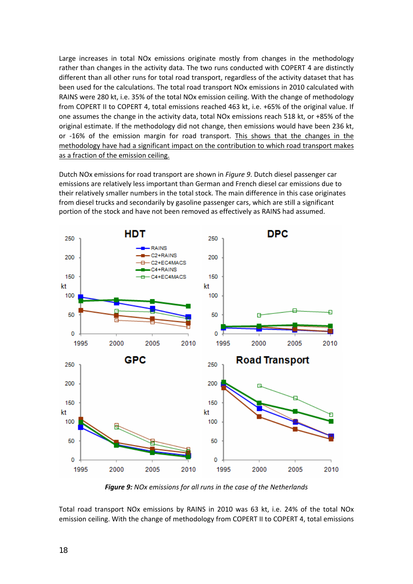<span id="page-17-0"></span>Large increases in total NOx emissions originate mostly from changes in the methodology rather than changes in the activity data. The two runs conducted with COPERT 4 are distinctly different than all other runs for total road transport, regardless of the activity dataset that has been used for the calculations. The total road transport NOx emissions in 2010 calculated with RAINS were 280 kt, i.e. 35% of the total NOx emission ceiling. With the change of methodology from COPERT II to COPERT 4, total emissions reached 463 kt, i.e. +65% of the original value. If one assumes the change in the activity data, total NOx emissions reach 518 kt, or +85% of the original estimate. If the methodology did not change, then emissions would have been 236 kt, or ‐16% of the emission margin for road transport. This shows that the changes in the methodology have had a significant impact on the contribution to which road transport makes as a fraction of the emission ceiling.

Dutch NOx emissions for road transport are shown in *[Figure](#page-17-0) 9*. Dutch diesel passenger car emissions are relatively less important than German and French diesel car emissions due to their relatively smaller numbers in the total stock. The main difference in this case originates from diesel trucks and secondarily by gasoline passenger cars, which are still a significant portion of the stock and have not been removed as effectively as RAINS had assumed.

![](_page_17_Figure_2.jpeg)

*Figure 9: NOx emissions for all runs in the case of the Netherlands*

Total road transport NOx emissions by RAINS in 2010 was 63 kt, i.e. 24% of the total NOx emission ceiling. With the change of methodology from COPERT II to COPERT 4, total emissions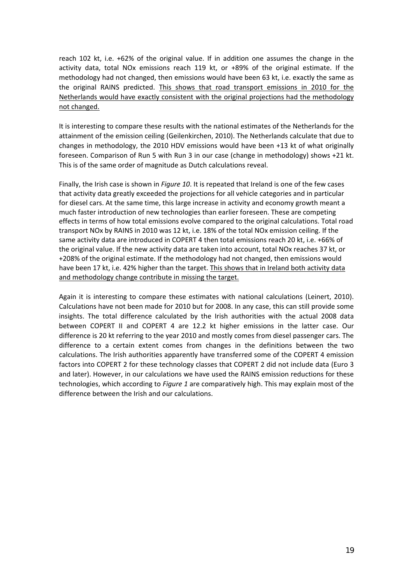reach 102 kt, i.e. +62% of the original value. If in addition one assumes the change in the activity data, total NOx emissions reach 119 kt, or +89% of the original estimate. If the methodology had not changed, then emissions would have been 63 kt, i.e. exactly the same as the original RAINS predicted. This shows that road transport emissions in 2010 for the Netherlands would have exactly consistent with the original projections had the methodology not changed.

It is interesting to compare these results with the national estimates of the Netherlands for the attainment of the emission ceiling (Geilenkirchen, 2010). The Netherlands calculate that due to changes in methodology, the 2010 HDV emissions would have been +13 kt of what originally foreseen. Comparison of Run 5 with Run 3 in our case (change in methodology) shows +21 kt. This is of the same order of magnitude as Dutch calculations reveal.

Finally, the Irish case is shown in *[Figure](#page-19-0) 10*. It is repeated that Ireland is one of the few cases that activity data greatly exceeded the projections for all vehicle categories and in particular for diesel cars. At the same time, this large increase in activity and economy growth meant a much faster introduction of new technologies than earlier foreseen. These are competing effects in terms of how total emissions evolve compared to the original calculations. Total road transport NOx by RAINS in 2010 was 12 kt, i.e. 18% of the total NOx emission ceiling. If the same activity data are introduced in COPERT 4 then total emissions reach 20 kt, i.e. +66% of the original value. If the new activity data are taken into account, total NOx reaches 37 kt, or +208% of the original estimate. If the methodology had not changed, then emissions would have been 17 kt, i.e. 42% higher than the target. This shows that in Ireland both activity data and methodology change contribute in missing the target.

Again it is interesting to compare these estimates with national calculations (Leinert, 2010). Calculations have not been made for 2010 but for 2008. In any case, this can still provide some insights. The total difference calculated by the Irish authorities with the actual 2008 data between COPERT II and COPERT 4 are 12.2 kt higher emissions in the latter case. Our difference is 20 kt referring to the year 2010 and mostly comes from diesel passenger cars. The difference to a certain extent comes from changes in the definitions between the two calculations. The Irish authorities apparently have transferred some of the COPERT 4 emission factors into COPERT 2 for these technology classes that COPERT 2 did not include data (Euro 3 and later). However, in our calculations we have used the RAINS emission reductions for these technologies, which according to *[Figure](#page-8-0) 1* are comparatively high. This may explain most of the difference between the Irish and our calculations.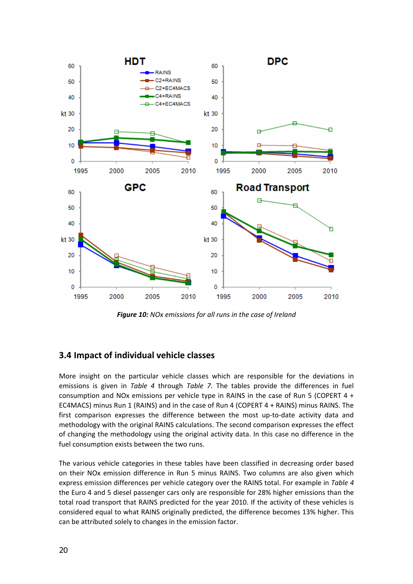<span id="page-19-0"></span>![](_page_19_Figure_0.jpeg)

*Figure 10: NOx emissions for all runs in the case of Ireland*

### **3.4 Impact of individual vehicle classes**

More insight on the particular vehicle classes which are responsible for the deviations in emissions is given in *[Table](#page-20-0) 4* through *[Table](#page-21-0) 7*. The tables provide the differences in fuel consumption and NOx emissions per vehicle type in RAINS in the case of Run 5 (COPERT 4 + EC4MACS) minus Run 1 (RAINS) and in the case of Run 4 (COPERT 4 + RAINS) minus RAINS. The first comparison expresses the difference between the most up-to-date activity data and methodology with the original RAINS calculations. The second comparison expresses the effect of changing the methodology using the original activity data. In this case no difference in the fuel consumption exists between the two runs.

The various vehicle categories in these tables have been classified in decreasing order based on their NOx emission difference in Run 5 minus RAINS. Two columns are also given which express emission differences per vehicle category over the RAINS total. For example in *[Table](#page-20-0) 4* the Euro 4 and 5 diesel passenger cars only are responsible for 28% higher emissions than the total road transport that RAINS predicted for the year 2010. If the activity of these vehicles is considered equal to what RAINS originally predicted, the difference becomes 13% higher. This can be attributed solely to changes in the emission factor.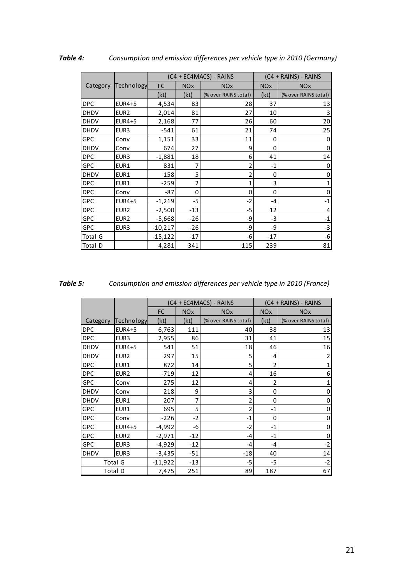|             |                  |           |            | (C4 + EC4MACS) - RAINS |            | $(C4 + RAINS) - RAINS$ |
|-------------|------------------|-----------|------------|------------------------|------------|------------------------|
| Category    | Technology       | FC        | <b>NOx</b> | <b>NO<sub>x</sub></b>  | <b>NOx</b> | <b>NO<sub>x</sub></b>  |
|             |                  | (kt)      | (kt)       | (% over RAINS total)   | (kt)       | (% over RAINS total)   |
| DPC         | EUR4+5           | 4,534     | 83         | 28                     | 37         | 13                     |
| <b>DHDV</b> | EUR <sub>2</sub> | 2,014     | 81         | 27                     | 10         | 3                      |
| <b>DHDV</b> | EUR4+5           | 2,168     | 77         | 26                     | 60         | 20                     |
| <b>DHDV</b> | EUR <sub>3</sub> | $-541$    | 61         | 21                     | 74         | 25                     |
| <b>GPC</b>  | Conv             | 1,151     | 33         | 11                     | 0          | 0                      |
| <b>DHDV</b> | Conv             | 674       | 27         | 9                      | 0          | 0                      |
| <b>DPC</b>  | EUR3             | $-1,881$  | 18         | 6                      | 41         | 14                     |
| GPC         | EUR1             | 831       | 7          | 2                      | $-1$       | 0                      |
| DHDV        | EUR1             | 158       | 5          | 2                      | 0          | 0                      |
| DPC         | EUR1             | $-259$    | 2          | 1                      | 3          | 1                      |
| <b>DPC</b>  | Conv             | $-87$     | 0          | 0                      | 0          | 0                      |
| GPC         | EUR4+5           | $-1,219$  | -5         | $-2$                   | -4         | $-1$                   |
| <b>DPC</b>  | EUR <sub>2</sub> | $-2,500$  | $-13$      | $-5$                   | 12         | 4                      |
| <b>GPC</b>  | EUR <sub>2</sub> | $-5,668$  | $-26$      | -9                     | $-3$       | $-1$                   |
| <b>GPC</b>  | EUR3             | $-10,217$ | $-26$      | -9                     | -9         | $-3$                   |
| Total G     |                  | $-15,122$ | $-17$      | -6                     | $-17$      | -6                     |
| Total D     |                  | 4,281     | 341        | 115                    | 239        | 81                     |

<span id="page-20-0"></span>*Table 4: Consumption and emission differences per vehicle type in 2010 (Germany)*

| Table 5: | Consumption and emission differences per vehicle type in 2010 (France) |  |  |  |
|----------|------------------------------------------------------------------------|--|--|--|
|----------|------------------------------------------------------------------------|--|--|--|

|             |                  |           |                       | (C4 + EC4MACS) - RAINS |            | (C4 + RAINS) - RAINS  |
|-------------|------------------|-----------|-----------------------|------------------------|------------|-----------------------|
|             |                  | FC        | <b>NO<sub>x</sub></b> | <b>NO<sub>x</sub></b>  | <b>NOx</b> | <b>NO<sub>x</sub></b> |
| Category    | Technology       | (kt)      | (kt)                  | (% over RAINS total)   | (kt)       | (% over RAINS total)  |
| <b>DPC</b>  | <b>EUR4+5</b>    | 6,763     | 111                   | 40                     | 38         | 13                    |
| <b>DPC</b>  | EUR3             | 2,955     | 86                    | 31                     | 41         | 15                    |
| <b>DHDV</b> | <b>EUR4+5</b>    | 541       | 51                    | 18                     | 46         | 16                    |
| <b>DHDV</b> | EUR <sub>2</sub> | 297       | 15                    | 5                      | 4          | 2                     |
| <b>DPC</b>  | EUR1             | 872       | 14                    | 5                      | 2          | 1                     |
| <b>DPC</b>  | EUR <sub>2</sub> | $-719$    | 12                    | 4                      | 16         | 6                     |
| GPC         | Conv             | 275       | 12                    | 4                      | 2          | 1                     |
| <b>DHDV</b> | Conv             | 218       | 9                     | 3                      | 0          | 0                     |
| <b>DHDV</b> | EUR1             | 207       | 7                     | 2                      | 0          | 0                     |
| GPC         | EUR1             | 695       | 5                     | $\overline{2}$         | $-1$       | 0                     |
| <b>DPC</b>  | Conv             | $-226$    | $-2$                  | $-1$                   | 0          | 0                     |
| <b>GPC</b>  | <b>EUR4+5</b>    | $-4,992$  | -6                    | $-2$                   | $-1$       | 0                     |
| GPC         | EUR <sub>2</sub> | $-2,971$  | $-12$                 | $-4$                   | $-1$       | 0                     |
| <b>GPC</b>  | EUR <sub>3</sub> | $-4,929$  | $-12$                 | -4                     | -4         | $-2$                  |
| <b>DHDV</b> | EUR <sub>3</sub> | $-3,435$  | $-51$                 | $-18$                  | 40         | 14                    |
|             | Total G          | $-11,922$ | $-13$                 | $-5$                   | -5         | $-2$                  |
|             | Total D          | 7,475     | 251                   | 89                     | 187        | 67                    |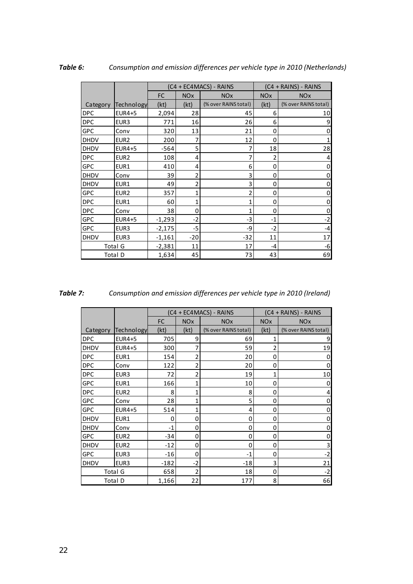|             |                  |          |                       | (C4 + EC4MACS) - RAINS |                       | $(C4 + RAINS) - RAINS$ |  |
|-------------|------------------|----------|-----------------------|------------------------|-----------------------|------------------------|--|
|             |                  | FC       | <b>NO<sub>x</sub></b> | <b>NO<sub>x</sub></b>  | <b>NO<sub>x</sub></b> | <b>NO<sub>x</sub></b>  |  |
| Category    | Technology       | (kt)     | (kt)                  | (% over RAINS total)   | (kt)                  | (% over RAINS total)   |  |
| <b>DPC</b>  | EUR4+5           | 2,094    | 28                    | 45                     | 6                     | 10                     |  |
| <b>DPC</b>  | EUR <sub>3</sub> | 771      | 16                    | 26                     | 6                     | 9                      |  |
| <b>GPC</b>  | Conv             | 320      | 13                    | 21                     | 0                     | 0                      |  |
| <b>DHDV</b> | EUR <sub>2</sub> | 200      | 7                     | 12                     | 0                     |                        |  |
| <b>DHDV</b> | <b>EUR4+5</b>    | $-564$   | 5                     | 7                      | 18                    | 28                     |  |
| <b>DPC</b>  | EUR <sub>2</sub> | 108      | 4                     | $\overline{7}$         | 2                     | 4                      |  |
| GPC         | EUR1             | 410      | 4                     | 6                      | 0                     | 0                      |  |
| <b>DHDV</b> | Conv             | 39       | 2                     | 3                      | 0                     | 0                      |  |
| <b>DHDV</b> | EUR1             | 49       | 2                     | 3                      | 0                     | 0                      |  |
| <b>GPC</b>  | EUR <sub>2</sub> | 357      | 1                     | 2                      | 0                     | 0                      |  |
| <b>DPC</b>  | EUR1             | 60       | $\mathbf{1}$          | 1                      | 0                     | 0                      |  |
| <b>DPC</b>  | Conv             | 38       | 0                     | 1                      | 0                     | 0                      |  |
| GPC         | <b>EUR4+5</b>    | $-1,293$ | $-2$                  | $-3$                   | $-1$                  | $-2$                   |  |
| GPC         | EUR <sub>3</sub> | $-2,175$ | -5                    | -9                     | $-2$                  | $-4$                   |  |
| <b>DHDV</b> | EUR <sub>3</sub> | $-1,161$ | $-20$                 | $-32$                  | 11                    | 17                     |  |
|             | Total G          | $-2,381$ | 11                    | 17                     | -4                    | -6                     |  |
|             | Total D          | 1,634    | 45                    | 73                     | 43                    | 69                     |  |

<span id="page-21-0"></span>*Table 6: Consumption and emission differences per vehicle type in 2010 (Netherlands)*

| п<br>77 |  |  |
|---------|--|--|

*Table 7: Consumption and emission differences per vehicle type in 2010 (Ireland)*

|             |                  |           |                       | (C4 + EC4MACS) - RAINS |                       | (C4 + RAINS) - RAINS  |
|-------------|------------------|-----------|-----------------------|------------------------|-----------------------|-----------------------|
|             |                  | <b>FC</b> | <b>NO<sub>x</sub></b> | <b>NO<sub>x</sub></b>  | <b>NO<sub>x</sub></b> | <b>NO<sub>x</sub></b> |
| Category    | Technology       | (kt)      | (kt)                  | (% over RAINS total)   | (kt)                  | (% over RAINS total)  |
| <b>DPC</b>  | <b>EUR4+5</b>    | 705       | 9                     | 69                     | 1                     | 9                     |
| <b>DHDV</b> | <b>EUR4+5</b>    | 300       | 7                     | 59                     | 2                     | 19                    |
| <b>DPC</b>  | EUR1             | 154       | $\overline{c}$        | 20                     | 0                     | 0                     |
| <b>DPC</b>  | Conv             | 122       | $\overline{c}$        | 20                     | 0                     | 0                     |
| <b>DPC</b>  | EUR <sub>3</sub> | 72        | $\overline{c}$        | 19                     | 1                     | 10                    |
| GPC         | EUR1             | 166       | 1                     | 10                     | 0                     | 0                     |
| <b>DPC</b>  | EUR <sub>2</sub> | 8         | 1                     | 8                      | 0                     | 4                     |
| GPC         | Conv             | 28        | 1                     | 5                      | 0                     | 0                     |
| <b>GPC</b>  | EUR4+5           | 514       | 1                     | 4                      | 0                     | 0                     |
| <b>DHDV</b> | EUR1             | 0         | 0                     | 0                      | 0                     | 0                     |
| <b>DHDV</b> | Conv             | $-1$      | 0                     | 0                      | 0                     | 0                     |
| <b>GPC</b>  | EUR <sub>2</sub> | $-34$     | 0                     | 0                      | 0                     | 0                     |
| <b>DHDV</b> | EUR <sub>2</sub> | $-12$     | 0                     | 0                      | 0                     | 3                     |
| <b>GPC</b>  | EUR <sub>3</sub> | $-16$     | 0                     | $-1$                   | 0                     | $-2$                  |
| <b>DHDV</b> | EUR <sub>3</sub> | $-182$    | $-2$                  | $-18$                  | 3                     | 21                    |
|             | <b>Total G</b>   | 658       | $\overline{2}$        | 18                     | 0                     | $-2$                  |
|             | Total D          | 1,166     | 22                    | 177                    | 8                     | 66                    |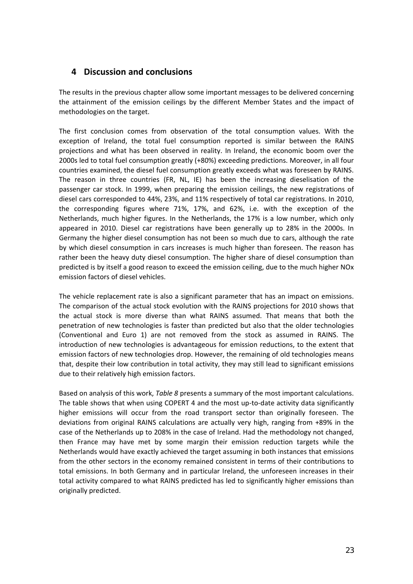### <span id="page-22-0"></span>**4 Discussion and conclusions**

The results in the previous chapter allow some important messages to be delivered concerning the attainment of the emission ceilings by the different Member States and the impact of methodologies on the target.

The first conclusion comes from observation of the total consumption values. With the exception of Ireland, the total fuel consumption reported is similar between the RAINS projections and what has been observed in reality. In Ireland, the economic boom over the 2000s led to total fuel consumption greatly (+80%) exceeding predictions. Moreover, in all four countries examined, the diesel fuel consumption greatly exceeds what was foreseen by RAINS. The reason in three countries (FR, NL, IE) has been the increasing dieselisation of the passenger car stock. In 1999, when preparing the emission ceilings, the new registrations of diesel cars corresponded to 44%, 23%, and 11% respectively of total car registrations. In 2010, the corresponding figures where 71%, 17%, and 62%, i.e. with the exception of the Netherlands, much higher figures. In the Netherlands, the 17% is a low number, which only appeared in 2010. Diesel car registrations have been generally up to 28% in the 2000s. In Germany the higher diesel consumption has not been so much due to cars, although the rate by which diesel consumption in cars increases is much higher than foreseen. The reason has rather been the heavy duty diesel consumption. The higher share of diesel consumption than predicted is by itself a good reason to exceed the emission ceiling, due to the much higher NOx emission factors of diesel vehicles.

The vehicle replacement rate is also a significant parameter that has an impact on emissions. The comparison of the actual stock evolution with the RAINS projections for 2010 shows that the actual stock is more diverse than what RAINS assumed. That means that both the penetration of new technologies is faster than predicted but also that the older technologies (Conventional and Euro 1) are not removed from the stock as assumed in RAINS. The introduction of new technologies is advantageous for emission reductions, to the extent that emission factors of new technologies drop. However, the remaining of old technologies means that, despite their low contribution in total activity, they may still lead to significant emissions due to their relatively high emission factors.

Based on analysis of this work, *[Table](#page-23-0) 8* presents a summary of the most important calculations. The table shows that when using COPERT 4 and the most up-to-date activity data significantly higher emissions will occur from the road transport sector than originally foreseen. The deviations from original RAINS calculations are actually very high, ranging from +89% in the case of the Netherlands up to 208% in the case of Ireland. Had the methodology not changed, then France may have met by some margin their emission reduction targets while the Netherlands would have exactly achieved the target assuming in both instances that emissions from the other sectors in the economy remained consistent in terms of their contributions to total emissions. In both Germany and in particular Ireland, the unforeseen increases in their total activity compared to what RAINS predicted has led to significantly higher emissions than originally predicted.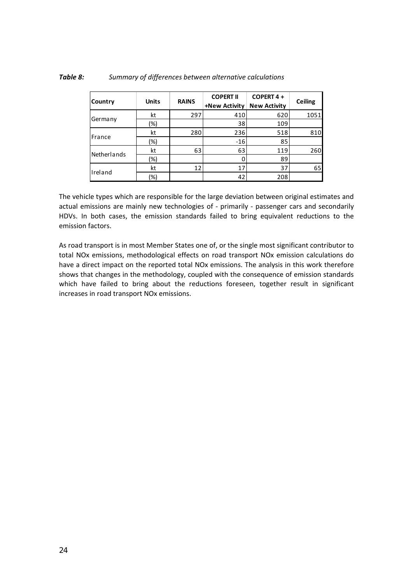| <b>Country</b> | <b>Units</b> | <b>RAINS</b> | <b>COPERT II</b><br>+New Activity | COPERT 4 +<br><b>New Activity</b> | <b>Ceiling</b> |
|----------------|--------------|--------------|-----------------------------------|-----------------------------------|----------------|
|                | kt           | 297          | 410                               | 620                               | 1051           |
| Germany        | (%)          |              | 38                                | 109                               |                |
|                | kt           | 280          | 236                               | 518                               | 810            |
| France         | (%)          |              | $-16$                             | 85                                |                |
| Netherlands    | kt           | 63           | 63                                | 119                               | 260            |
|                | (%)          |              |                                   | 89                                |                |
|                | kt           | 12           | 17                                | 37                                | 65             |
| Ireland        | (%)          |              | 42                                | 208                               |                |

#### <span id="page-23-0"></span>*Table 8: Summary of differences between alternative calculations*

The vehicle types which are responsible for the large deviation between original estimates and actual emissions are mainly new technologies of - primarily - passenger cars and secondarily HDVs. In both cases, the emission standards failed to bring equivalent reductions to the emission factors.

As road transport is in most Member States one of, or the single most significant contributor to total NOx emissions, methodological effects on road transport NOx emission calculations do have a direct impact on the reported total NOx emissions. The analysis in this work therefore shows that changes in the methodology, coupled with the consequence of emission standards which have failed to bring about the reductions foreseen, together result in significant increases in road transport NOx emissions.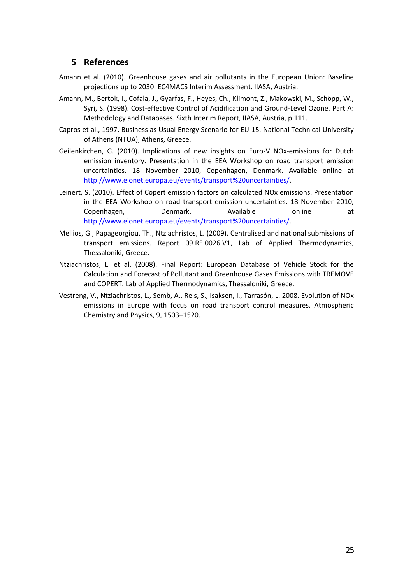### <span id="page-24-0"></span>**5 References**

- Amann et al. (2010). Greenhouse gases and air pollutants in the European Union: Baseline projections up to 2030. EC4MACS Interim Assessment. IIASA, Austria.
- Amann, M., Bertok, I., Cofala, J., Gyarfas, F., Heyes, Ch., Klimont, Z., Makowski, M., Schöpp, W., Syri, S. (1998). Cost‐effective Control of Acidification and Ground‐Level Ozone. Part A: Methodology and Databases. Sixth Interim Report, IIASA, Austria, p.111.
- Capros et al., 1997, Business as Usual Energy Scenario for EU‐15. National Technical University of Athens (NTUA), Athens, Greece.
- Geilenkirchen, G. (2010). Implications of new insights on Euro-V NOx-emissions for Dutch emission inventory. Presentation in the EEA Workshop on road transport emission uncertainties. 18 November 2010, Copenhagen, Denmark. Available online at [http://www.eionet.europa.eu/events/transport%20uncertainties/](http://www.eionet.europa.eu/events/transport uncertainties/).
- Leinert, S. (2010). Effect of Copert emission factors on calculated NOx emissions. Presentation in the EEA Workshop on road transport emission uncertainties. 18 November 2010, Copenhagen, Denmark. Available online at [http://www.eionet.europa.eu/events/transport%20uncertainties/](http://www.eionet.europa.eu/events/transport uncertainties/).
- Mellios, G., Papageorgiou, Th., Ntziachristos, L. (2009). Centralised and national submissions of transport emissions. Report 09.RE.0026.V1, Lab of Applied Thermodynamics, Thessaloniki, Greece.
- Ntziachristos, L. et al. (2008). Final Report: European Database of Vehicle Stock for the Calculation and Forecast of Pollutant and Greenhouse Gases Emissions with TREMOVE and COPERT. Lab of Applied Thermodynamics, Thessaloniki, Greece.
- Vestreng, V., Ntziachristos, L., Semb, A., Reis, S., Isaksen, I., Tarrasón, L. 2008. Evolution of NOx emissions in Europe with focus on road transport control measures. Atmospheric Chemistry and Physics, 9, 1503–1520.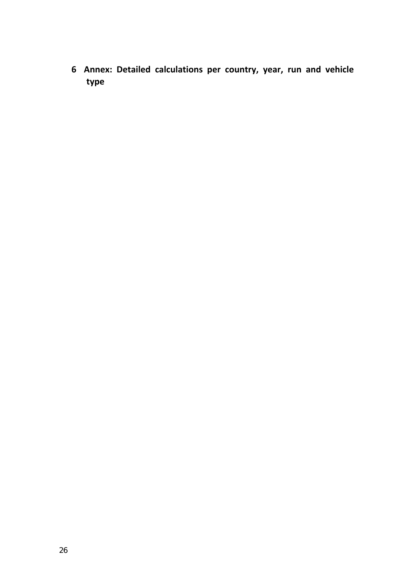<span id="page-25-0"></span> **Annex: Detailed calculations per country, year, run and vehicle type**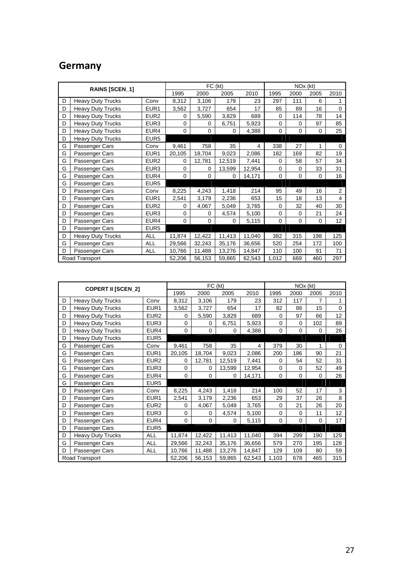# **Germany**

|   | RAINS [SCEN_1]           |                  |             |             | FC (kt)  |        |             | NO <sub>x</sub> (kt) |             |             |  |
|---|--------------------------|------------------|-------------|-------------|----------|--------|-------------|----------------------|-------------|-------------|--|
|   |                          | 1995             | 2000        | 2005        | 2010     | 1995   | 2000        | 2005                 | 2010        |             |  |
| D | <b>Heavy Duty Trucks</b> | Conv             | 8,312       | 3,106       | 179      | 23     | 297         | 111                  | 6           | 1           |  |
| D | <b>Heavy Duty Trucks</b> | EUR <sub>1</sub> | 3,562       | 3,727       | 654      | 17     | 85          | 89                   | 16          | $\Omega$    |  |
| D | <b>Heavy Duty Trucks</b> | EUR <sub>2</sub> | $\Omega$    | 5,590       | 3,829    | 689    | 0           | 114                  | 78          | 14          |  |
| D | <b>Heavy Duty Trucks</b> | EUR <sub>3</sub> | 0           | 0           | 6,751    | 5,923  | $\mathbf 0$ | 0                    | 97          | 85          |  |
| D | Heavy Duty Trucks        | EUR4             | $\Omega$    | $\Omega$    | $\Omega$ | 4,388  | 0           | 0                    | 0           | 25          |  |
| D | <b>Heavy Duty Trucks</b> | EUR <sub>5</sub> |             |             |          |        |             |                      |             |             |  |
| G | Passenger Cars           | Conv             | 9,461       | 758         | 35       | 4      | 338         | 27                   | 1           | $\mathbf 0$ |  |
| G | Passenger Cars           | EUR <sub>1</sub> | 20,105      | 18,704      | 9,023    | 2,086  | 182         | 169                  | 82          | 19          |  |
| G | Passenger Cars           | EUR <sub>2</sub> | $\Omega$    | 12,781      | 12,519   | 7,441  | 0           | 58                   | 57          | 34          |  |
| G | Passenger Cars           | EUR <sub>3</sub> | $\mathbf 0$ | 0           | 13,599   | 12,954 | $\mathbf 0$ | 0                    | 33          | 31          |  |
| G | Passenger Cars           | EUR4             | $\mathbf 0$ | 0           | $\Omega$ | 14,171 | $\mathbf 0$ | 0                    | 0           | 16          |  |
| G | Passenger Cars           | EUR <sub>5</sub> |             |             |          |        |             |                      |             |             |  |
| D | Passenger Cars           | Conv             | 8,225       | 4,243       | 1,418    | 214    | 95          | 49                   | 16          | 2           |  |
| D | Passenger Cars           | EUR <sub>1</sub> | 2,541       | 3,179       | 2,236    | 653    | 15          | 18                   | 13          | 4           |  |
| D | Passenger Cars           | EUR <sub>2</sub> | $\Omega$    | 4,067       | 5,049    | 3,765  | 0           | 32                   | 40          | 30          |  |
| D | Passenger Cars           | EUR <sub>3</sub> | $\mathbf 0$ | 0           | 4,574    | 5,100  | $\mathbf 0$ | $\mathbf 0$          | 21          | 24          |  |
| D | Passenger Cars           | EUR4             | $\mathbf 0$ | $\mathbf 0$ | $\Omega$ | 5,115  | $\mathbf 0$ | $\mathbf 0$          | $\mathbf 0$ | 12          |  |
| D | Passenger Cars           | EUR <sub>5</sub> |             |             |          |        |             |                      |             |             |  |
| D | <b>Heavy Duty Trucks</b> | <b>ALL</b>       | 11,874      | 12,422      | 11,413   | 11,040 | 382         | 315                  | 198         | 125         |  |
| G | Passenger Cars           | <b>ALL</b>       | 29,566      | 32,243      | 35,176   | 36,656 | 520         | 254                  | 172         | 100         |  |
| D | Passenger Cars           | <b>ALL</b>       | 10,766      | 11,488      | 13,276   | 14,847 | 110         | 100                  | 91          | 71          |  |
|   | Road Transport           |                  | 52,206      | 56,153      | 59,865   | 62,543 | 1,012       | 669                  | 460         | 297         |  |

|   | <b>COPERT II [SCEN_2]</b> |                  |             |          | FC (kt) |        |             | NOx (kt)    |             |      |
|---|---------------------------|------------------|-------------|----------|---------|--------|-------------|-------------|-------------|------|
|   |                           |                  | 1995        | 2000     | 2005    | 2010   | 1995        | 2000        | 2005        | 2010 |
| D | <b>Heavy Duty Trucks</b>  | Conv             | 8,312       | 3,106    | 179     | 23     | 312         | 117         | 7           | 1    |
| D | <b>Heavy Duty Trucks</b>  | EUR <sub>1</sub> | 3,562       | 3,727    | 654     | 17     | 82          | 86          | 15          | 0    |
| D | <b>Heavy Duty Trucks</b>  | EUR <sub>2</sub> | $\Omega$    | 5,590    | 3,829   | 689    | 0           | 97          | 66          | 12   |
| D | <b>Heavy Duty Trucks</b>  | EUR <sub>3</sub> | 0           | 0        | 6,751   | 5,923  | $\mathbf 0$ | 0           | 102         | 89   |
| D | <b>Heavy Duty Trucks</b>  | EUR4             | $\Omega$    | $\Omega$ | 0       | 4,388  | 0           | $\Omega$    | $\Omega$    | 26   |
| D | <b>Heavy Duty Trucks</b>  | EUR <sub>5</sub> |             |          |         |        |             |             |             |      |
| G | Passenger Cars            | Conv             | 9,461       | 758      | 35      | 4      | 379         | 30          | 1           | 0    |
| G | Passenger Cars            | EUR <sub>1</sub> | 20,105      | 18,704   | 9,023   | 2,086  | 200         | 186         | 90          | 21   |
| G | Passenger Cars            | EUR <sub>2</sub> | $\Omega$    | 12,781   | 12,519  | 7,441  | 0           | 54          | 52          | 31   |
| G | Passenger Cars            | EUR <sub>3</sub> | $\mathbf 0$ | 0        | 13,599  | 12,954 | $\mathbf 0$ | $\mathbf 0$ | 52          | 49   |
| G | Passenger Cars            | EUR4             | $\Omega$    | $\Omega$ | 0       | 14,171 | $\mathbf 0$ | $\Omega$    | $\mathbf 0$ | 26   |
| G | Passenger Cars            | EUR <sub>5</sub> |             |          |         |        |             |             |             |      |
| D | Passenger Cars            | Conv             | 8,225       | 4,243    | 1,418   | 214    | 100         | 52          | 17          | 3    |
| D | Passenger Cars            | EUR <sub>1</sub> | 2,541       | 3,179    | 2,236   | 653    | 29          | 37          | 26          | 8    |
| D | Passenger Cars            | EUR <sub>2</sub> | 0           | 4,067    | 5,049   | 3,765  | 0           | 21          | 26          | 20   |
| D | Passenger Cars            | EUR <sub>3</sub> | $\mathbf 0$ | 0        | 4,574   | 5,100  | $\mathbf 0$ | $\mathbf 0$ | 11          | 12   |
| D | Passenger Cars            | EUR4             | $\mathbf 0$ | 0        | 0       | 5,115  | 0           | $\Omega$    | 0           | 17   |
| D | Passenger Cars            | EUR <sub>5</sub> |             |          |         |        |             |             |             |      |
| D | <b>Heavy Duty Trucks</b>  | <b>ALL</b>       | 11,874      | 12,422   | 11,413  | 11,040 | 394         | 299         | 190         | 129  |
| G | Passenger Cars            | <b>ALL</b>       | 29,566      | 32,243   | 35,176  | 36,656 | 579         | 270         | 195         | 128  |
| D | Passenger Cars            | <b>ALL</b>       | 10,766      | 11,488   | 13,276  | 14,847 | 129         | 109         | 80          | 59   |
|   | Road Transport            |                  | 52,206      | 56,153   | 59,865  | 62,543 | 1,103       | 678         | 465         | 315  |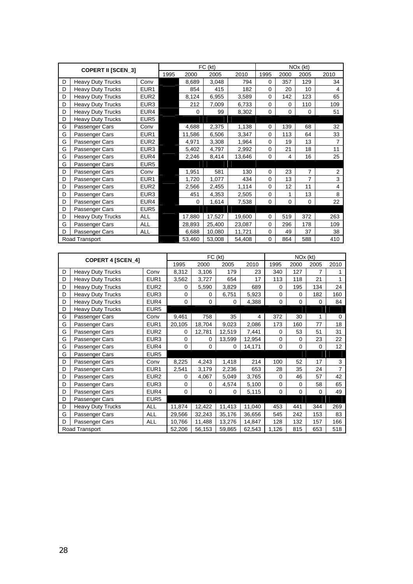|   | <b>COPERT II [SCEN_3]</b> |                  |      |          | FC (kt) |        |          |             | $NOx$ (kt)     |                |
|---|---------------------------|------------------|------|----------|---------|--------|----------|-------------|----------------|----------------|
|   |                           |                  | 1995 | 2000     | 2005    | 2010   | 1995     | 2000        | 2005           | 2010           |
| D | <b>Heavy Duty Trucks</b>  | Conv             |      | 8,689    | 3,048   | 794    | 0        | 357         | 129            | 34             |
| D | <b>Heavy Duty Trucks</b>  | EUR <sub>1</sub> |      | 854      | 415     | 182    | 0        | 20          | 10             | 4              |
| D | <b>Heavy Duty Trucks</b>  | EUR <sub>2</sub> |      | 8,124    | 6,955   | 3,589  | 0        | 142         | 123            | 65             |
| D | <b>Heavy Duty Trucks</b>  | EUR <sub>3</sub> |      | 212      | 7,009   | 6,733  | 0        | $\Omega$    | 110            | 109            |
| D | <b>Heavy Duty Trucks</b>  | EUR4             |      | $\Omega$ | 99      | 8,302  | 0        | $\Omega$    | 0              | 51             |
| D | <b>Heavy Duty Trucks</b>  | EUR <sub>5</sub> |      |          |         |        |          |             |                |                |
| G | Passenger Cars            | Conv             |      | 4,688    | 2,375   | 1,138  | 0        | 139         | 68             | 32             |
| G | Passenger Cars            | EUR <sub>1</sub> |      | 11,586   | 6,506   | 3,347  | 0        | 113         | 64             | 33             |
| G | Passenger Cars            | EUR <sub>2</sub> |      | 4,971    | 3,308   | 1,964  | 0        | 19          | 13             | $\overline{7}$ |
| G | Passenger Cars            | EUR <sub>3</sub> |      | 5,402    | 4,797   | 2,992  | 0        | 21          | 18             | 11             |
| G | Passenger Cars            | EUR4             |      | 2,246    | 8,414   | 13,646 | 0        | 4           | 16             | 25             |
| G | Passenger Cars            | EUR <sub>5</sub> |      |          |         |        |          |             |                |                |
| D | Passenger Cars            | Conv             |      | 1,951    | 581     | 130    | $\Omega$ | 23          | $\overline{7}$ | 2              |
| D | Passenger Cars            | EUR <sub>1</sub> |      | 1,720    | 1,077   | 434    | 0        | 13          | $\overline{7}$ | 3              |
| D | Passenger Cars            | EUR <sub>2</sub> |      | 2,566    | 2,455   | 1,114  | 0        | 12          | 11             | 4              |
| D | Passenger Cars            | EUR <sub>3</sub> |      | 451      | 4,353   | 2,505  | 0        | 1           | 13             | 8              |
| D | Passenger Cars            | EUR4             |      | 0        | 1,614   | 7,538  | 0        | $\mathbf 0$ | 0              | 22             |
| D | Passenger Cars            | EUR <sub>5</sub> |      |          |         |        |          |             |                |                |
| D | <b>Heavy Duty Trucks</b>  | ALL              |      | 17,880   | 17,527  | 19,600 | 0        | 519         | 372            | 263            |
| G | Passenger Cars            | <b>ALL</b>       |      | 28,893   | 25,400  | 23,087 | 0        | 296         | 178            | 109            |
| D | Passenger Cars            | <b>ALL</b>       |      | 6,688    | 10,080  | 11,721 | 0        | 49          | 37             | 38             |
|   | Road Transport            |                  |      | 53,460   | 53,008  | 54,408 | 0        | 864         | 588            | 410            |

|   | <b>COPERT 4 [SCEN_4]</b> |                  |             |             | FC (kt) |        |             | NOx (kt) |             |                |
|---|--------------------------|------------------|-------------|-------------|---------|--------|-------------|----------|-------------|----------------|
|   |                          |                  | 1995        | 2000        | 2005    | 2010   | 1995        | 2000     | 2005        | 2010           |
| D | <b>Heavy Duty Trucks</b> | Conv             | 8,312       | 3,106       | 179     | 23     | 340         | 127      | 7           | 1              |
| D | <b>Heavy Duty Trucks</b> | EUR <sub>1</sub> | 3,562       | 3,727       | 654     | 17     | 113         | 118      | 21          | 1              |
| D | <b>Heavy Duty Trucks</b> | EUR <sub>2</sub> | $\mathbf 0$ | 5,590       | 3,829   | 689    | 0           | 195      | 134         | 24             |
| D | <b>Heavy Duty Trucks</b> | EUR <sub>3</sub> | $\Omega$    | $\Omega$    | 6,751   | 5,923  | 0           | $\Omega$ | 182         | 160            |
| D | <b>Heavy Duty Trucks</b> | EUR4             | $\mathbf 0$ | $\mathbf 0$ | 0       | 4,388  | 0           | 0        | $\mathbf 0$ | 84             |
| D | <b>Heavy Duty Trucks</b> | EUR <sub>5</sub> |             |             |         |        |             |          |             |                |
| G | Passenger Cars           | Conv             | 9,461       | 758         | 35      | 4      | 372         | 30       | 1           | 0              |
| G | Passenger Cars           | EUR <sub>1</sub> | 20,105      | 18,704      | 9,023   | 2,086  | 173         | 160      | 77          | 18             |
| G | Passenger Cars           | EUR <sub>2</sub> | $\Omega$    | 12,781      | 12,519  | 7,441  | 0           | 53       | 51          | 31             |
| G | Passenger Cars           | EUR <sub>3</sub> | $\mathbf 0$ | 0           | 13,599  | 12,954 | $\mathbf 0$ | $\Omega$ | 23          | 22             |
| G | Passenger Cars           | EUR4             | $\Omega$    | $\mathbf 0$ | 0       | 14,171 | $\mathbf 0$ | $\Omega$ | $\mathbf 0$ | 12             |
| G | Passenger Cars           | EUR <sub>5</sub> |             |             |         |        |             |          |             |                |
| D | Passenger Cars           | Conv             | 8,225       | 4,243       | 1,418   | 214    | 100         | 52       | 17          | 3              |
| D | Passenger Cars           | EUR <sub>1</sub> | 2,541       | 3,179       | 2,236   | 653    | 28          | 35       | 24          | $\overline{7}$ |
| D | Passenger Cars           | EUR <sub>2</sub> | $\Omega$    | 4,067       | 5,049   | 3,765  | 0           | 46       | 57          | 42             |
| D | Passenger Cars           | EUR <sub>3</sub> | $\Omega$    | 0           | 4,574   | 5,100  | 0           | $\Omega$ | 58          | 65             |
| D | Passenger Cars           | EUR4             | $\mathbf 0$ | 0           | 0       | 5,115  | 0           | $\Omega$ | 0           | 49             |
| D | Passenger Cars           | EUR <sub>5</sub> |             |             |         |        |             |          |             |                |
| D | <b>Heavy Duty Trucks</b> | <b>ALL</b>       | 11,874      | 12,422      | 11,413  | 11,040 | 453         | 441      | 344         | 269            |
| G | Passenger Cars           | <b>ALL</b>       | 29,566      | 32,243      | 35,176  | 36,656 | 545         | 242      | 153         | 83             |
| D | Passenger Cars           | <b>ALL</b>       | 10,766      | 11,488      | 13,276  | 14,847 | 128         | 132      | 157         | 166            |
|   | Road Transport           |                  | 52,206      | 56,153      | 59,865  | 62,543 | 1,126       | 815      | 653         | 518            |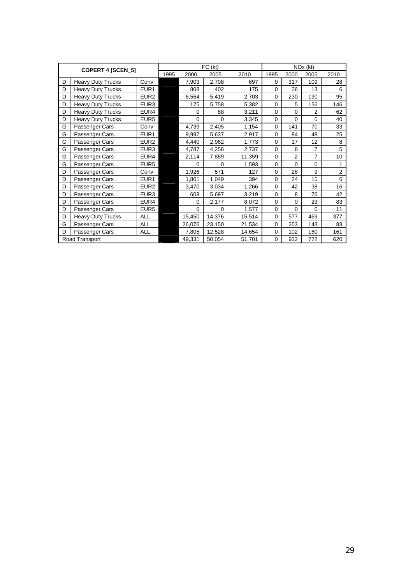|   | <b>COPERT 4 [SCEN_5]</b> |                  |      |             | FC (kt)     |        |             |                | $NOx$ ( $kt$ ) |                |
|---|--------------------------|------------------|------|-------------|-------------|--------|-------------|----------------|----------------|----------------|
|   |                          |                  | 1995 | 2000        | 2005        | 2010   | 1995        | 2000           | 2005           | 2010           |
| D | <b>Heavy Duty Trucks</b> | Conv             |      | 7,903       | 2,708       | 697    | $\Omega$    | 317            | 109            | 28             |
| D | <b>Heavy Duty Trucks</b> | EUR <sub>1</sub> |      | 808         | 402         | 175    | $\Omega$    | 26             | 13             | 6              |
| D | <b>Heavy Duty Trucks</b> | EUR <sub>2</sub> |      | 6,564       | 5,419       | 2,703  | 0           | 230            | 190            | 95             |
| D | <b>Heavy Duty Trucks</b> | EUR <sub>3</sub> |      | 175         | 5,758       | 5,382  | $\mathbf 0$ | 5              | 156            | 146            |
| D | <b>Heavy Duty Trucks</b> | EUR4             |      | $\mathbf 0$ | 88          | 3,211  | $\Omega$    | $\Omega$       | $\overline{2}$ | 62             |
| D | <b>Heavy Duty Trucks</b> | EUR <sub>5</sub> |      | $\mathbf 0$ | $\mathbf 0$ | 3,345  | $\mathbf 0$ | $\mathbf 0$    | $\mathbf 0$    | 40             |
| G | Passenger Cars           | Conv             |      | 4,739       | 2,405       | 1,154  | 0           | 141            | 70             | 33             |
| G | Passenger Cars           | EUR <sub>1</sub> |      | 9,997       | 5,637       | 2,917  | $\Omega$    | 84             | 48             | 25             |
| G | Passenger Cars           | EUR <sub>2</sub> |      | 4,440       | 2,962       | 1,773  | $\Omega$    | 17             | 12             | 8              |
| G | Passenger Cars           | EUR <sub>3</sub> |      | 4,787       | 4,256       | 2,737  | 0           | 8              | 7              | 5              |
| G | Passenger Cars           | EUR4             |      | 2,114       | 7,889       | 11,359 | 0           | $\overline{2}$ | 7              | 10             |
| G | Passenger Cars           | EUR <sub>5</sub> |      | 0           | $\Omega$    | 1,593  | 0           | $\Omega$       | $\mathbf 0$    | 1              |
| D | Passenger Cars           | Conv             |      | 1,926       | 571         | 127    | 0           | 28             | 9              | $\overline{2}$ |
| D | Passenger Cars           | EUR <sub>1</sub> |      | 1,801       | 1,049       | 394    | 0           | 24             | 15             | 6              |
| D | Passenger Cars           | EUR <sub>2</sub> |      | 3,470       | 3,034       | 1,266  | $\Omega$    | 42             | 38             | 16             |
| D | Passenger Cars           | EUR <sub>3</sub> |      | 608         | 5,697       | 3,219  | $\Omega$    | 8              | 76             | 42             |
| D | Passenger Cars           | EUR4             |      | 0           | 2,177       | 8,072  | $\Omega$    | $\Omega$       | 23             | 83             |
| D | Passenger Cars           | EUR <sub>5</sub> |      | $\mathbf 0$ | $\mathbf 0$ | 1,577  | 0           | $\mathbf 0$    | $\mathbf 0$    | 11             |
| D | <b>Heavy Duty Trucks</b> | <b>ALL</b>       |      | 15,450      | 14,376      | 15,514 | $\mathbf 0$ | 577            | 469            | 377            |
| G | Passenger Cars           | ALL              |      | 26,076      | 23,150      | 21,534 | 0           | 253            | 143            | 83             |
| D | Passenger Cars           | <b>ALL</b>       |      | 7,805       | 12,528      | 14,654 | $\mathbf 0$ | 102            | 160            | 161            |
|   | Road Transport           |                  |      | 49,331      | 50,054      | 51,701 | 0           | 932            | 772            | 620            |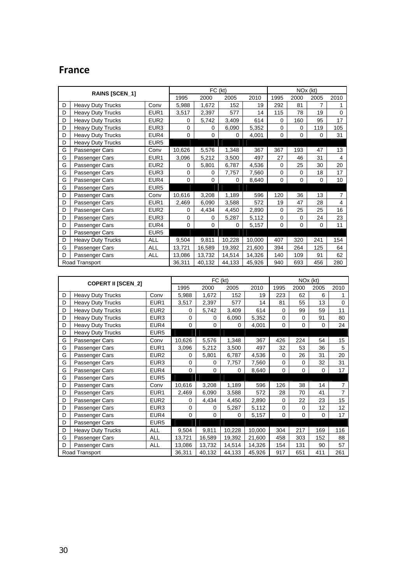# **France**

|   | <b>RAINS [SCEN_1]</b>    |                  |             |             | FC (kt) |        |             |          | NOx (kt)    |                |
|---|--------------------------|------------------|-------------|-------------|---------|--------|-------------|----------|-------------|----------------|
|   |                          |                  | 1995        | 2000        | 2005    | 2010   | 1995        | 2000     | 2005        | 2010           |
| D | <b>Heavy Duty Trucks</b> | Conv             | 5,988       | 1,672       | 152     | 19     | 292         | 81       | 7           | 1              |
| D | <b>Heavy Duty Trucks</b> | EUR1             | 3,517       | 2,397       | 577     | 14     | 115         | 78       | 19          | 0              |
| D | <b>Heavy Duty Trucks</b> | EUR <sub>2</sub> | 0           | 5,742       | 3,409   | 614    | 0           | 160      | 95          | 17             |
| D | <b>Heavy Duty Trucks</b> | EUR <sub>3</sub> | $\mathbf 0$ | 0           | 6,090   | 5,352  | 0           | 0        | 119         | 105            |
| D | <b>Heavy Duty Trucks</b> | EUR4             | $\Omega$    | $\mathbf 0$ | 0       | 4,001  | $\mathbf 0$ | $\Omega$ | 0           | 31             |
| D | <b>Heavy Duty Trucks</b> | EUR <sub>5</sub> |             |             |         |        |             |          |             |                |
| G | Passenger Cars           | Conv             | 10,626      | 5,576       | 1,348   | 367    | 367         | 193      | 47          | 13             |
| G | Passenger Cars           | EUR <sub>1</sub> | 3,096       | 5,212       | 3,500   | 497    | 27          | 46       | 31          | $\overline{4}$ |
| G | Passenger Cars           | EUR <sub>2</sub> | 0           | 5,801       | 6,787   | 4,536  | $\mathbf 0$ | 25       | 30          | 20             |
| G | Passenger Cars           | EUR <sub>3</sub> | $\mathbf 0$ | 0           | 7,757   | 7,560  | $\mathbf 0$ | 0        | 18          | 17             |
| G | Passenger Cars           | EUR4             | $\mathbf 0$ | 0           | 0       | 8,640  | $\mathbf 0$ | $\Omega$ | $\mathbf 0$ | 10             |
| G | Passenger Cars           | EUR <sub>5</sub> |             |             |         |        |             |          |             |                |
| D | Passenger Cars           | Conv             | 10,616      | 3,208       | 1,189   | 596    | 120         | 36       | 13          | $\overline{7}$ |
| D | Passenger Cars           | EUR1             | 2,469       | 6,090       | 3,588   | 572    | 19          | 47       | 28          | $\overline{4}$ |
| D | Passenger Cars           | EUR <sub>2</sub> | 0           | 4,434       | 4,450   | 2,890  | $\mathbf 0$ | 25       | 25          | 16             |
| D | Passenger Cars           | EUR <sub>3</sub> | $\Omega$    | 0           | 5,287   | 5,112  | 0           | 0        | 24          | 23             |
| D | Passenger Cars           | EUR4             | $\mathbf 0$ | 0           | 0       | 5,157  | $\mathbf 0$ | $\Omega$ | $\mathbf 0$ | 11             |
| D | Passenger Cars           | EUR <sub>5</sub> |             |             |         |        |             |          |             |                |
| D | <b>Heavy Duty Trucks</b> | <b>ALL</b>       | 9,504       | 9,811       | 10,228  | 10,000 | 407         | 320      | 241         | 154            |
| G | Passenger Cars           | <b>ALL</b>       | 13,721      | 16,589      | 19,392  | 21,600 | 394         | 264      | 125         | 64             |
| D | Passenger Cars           | <b>ALL</b>       | 13,086      | 13,732      | 14,514  | 14,326 | 140         | 109      | 91          | 62             |
|   | Road Transport           |                  | 36,311      | 40,132      | 44,133  | 45,926 | 940         | 693      | 456         | 280            |

|   | <b>COPERT II [SCEN_2]</b> |                  |        |             | FC (kt)  |        |             |             | NOx (kt)    |                |
|---|---------------------------|------------------|--------|-------------|----------|--------|-------------|-------------|-------------|----------------|
|   |                           |                  | 1995   | 2000        | 2005     | 2010   | 1995        | 2000        | 2005        | 2010           |
| D | <b>Heavy Duty Trucks</b>  | Conv             | 5,988  | 1,672       | 152      | 19     | 223         | 62          | 6           | 1              |
| D | <b>Heavy Duty Trucks</b>  | EUR <sub>1</sub> | 3,517  | 2,397       | 577      | 14     | 81          | 55          | 13          | $\mathbf 0$    |
| D | <b>Heavy Duty Trucks</b>  | EUR <sub>2</sub> | 0      | 5,742       | 3,409    | 614    | 0           | 99          | 59          | 11             |
| D | <b>Heavy Duty Trucks</b>  | EUR3             | 0      | 0           | 6,090    | 5,352  | $\mathbf 0$ | 0           | 91          | 80             |
| D | <b>Heavy Duty Trucks</b>  | EUR4             | 0      | $\mathbf 0$ | 0        | 4,001  | 0           | $\Omega$    | 0           | 24             |
| D | <b>Heavy Duty Trucks</b>  | EUR <sub>5</sub> |        |             |          |        |             |             |             |                |
| G | Passenger Cars            | Conv             | 10,626 | 5,576       | 1,348    | 367    | 426         | 224         | 54          | 15             |
| G | Passenger Cars            | EUR <sub>1</sub> | 3,096  | 5,212       | 3,500    | 497    | 32          | 53          | 36          | 5              |
| G | Passenger Cars            | EUR <sub>2</sub> | 0      | 5,801       | 6,787    | 4,536  | $\mathbf 0$ | 26          | 31          | 20             |
| G | Passenger Cars            | EUR <sub>3</sub> | 0      | $\mathbf 0$ | 7,757    | 7,560  | $\mathbf 0$ | $\mathbf 0$ | 32          | 31             |
| G | Passenger Cars            | EUR4             | 0      | $\mathbf 0$ | $\Omega$ | 8,640  | 0           | 0           | $\Omega$    | 17             |
| G | Passenger Cars            | EUR <sub>5</sub> |        |             |          |        |             |             |             |                |
| D | Passenger Cars            | Conv             | 10,616 | 3,208       | 1,189    | 596    | 126         | 38          | 14          | 7              |
| D | Passenger Cars            | EUR1             | 2,469  | 6,090       | 3,588    | 572    | 28          | 70          | 41          | $\overline{7}$ |
| D | Passenger Cars            | EUR <sub>2</sub> | 0      | 4,434       | 4,450    | 2,890  | $\mathbf 0$ | 22          | 23          | 15             |
| D | Passenger Cars            | EUR3             | 0      | 0           | 5,287    | 5,112  | 0           | 0           | 12          | 12             |
| D | Passenger Cars            | EUR4             | 0      | $\mathbf 0$ | 0        | 5,157  | $\mathbf 0$ | 0           | $\mathbf 0$ | 17             |
| D | Passenger Cars            | EUR <sub>5</sub> |        |             |          |        |             |             |             |                |
| D | <b>Heavy Duty Trucks</b>  | ALL              | 9,504  | 9,811       | 10,228   | 10,000 | 304         | 217         | 169         | 116            |
| G | Passenger Cars            | ALL              | 13,721 | 16,589      | 19,392   | 21,600 | 458         | 303         | 152         | 88             |
| D | Passenger Cars            | <b>ALL</b>       | 13,086 | 13,732      | 14,514   | 14,326 | 154         | 131         | 90          | 57             |
|   | Road Transport            |                  | 36,311 | 40,132      | 44,133   | 45,926 | 917         | 651         | 411         | 261            |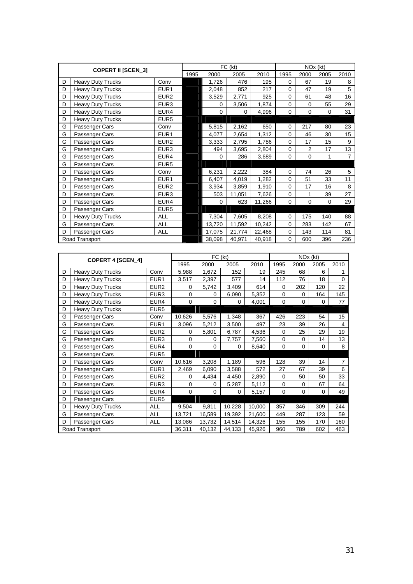|   | <b>COPERT II [SCEN_3]</b> |                  |      |          | FC (kt) |        |             | NO <sub>x</sub> (kt) |             |                |
|---|---------------------------|------------------|------|----------|---------|--------|-------------|----------------------|-------------|----------------|
|   |                           |                  | 1995 | 2000     | 2005    | 2010   | 1995        | 2000                 | 2005        | 2010           |
| D | <b>Heavy Duty Trucks</b>  | Conv             |      | 1,726    | 476     | 195    | $\mathbf 0$ | 67                   | 19          | 8              |
| D | <b>Heavy Duty Trucks</b>  | EUR <sub>1</sub> |      | 2,048    | 852     | 217    | $\Omega$    | 47                   | 19          | 5              |
| D | <b>Heavy Duty Trucks</b>  | EUR <sub>2</sub> |      | 3,529    | 2,771   | 925    | $\mathbf 0$ | 61                   | 48          | 16             |
| D | <b>Heavy Duty Trucks</b>  | EUR <sub>3</sub> |      | 0        | 3,506   | 1,874  | $\Omega$    | $\Omega$             | 55          | 29             |
| D | <b>Heavy Duty Trucks</b>  | EUR4             |      | $\Omega$ | 0       | 4,996  | $\Omega$    | $\Omega$             | $\Omega$    | 31             |
| D | <b>Heavy Duty Trucks</b>  | EUR <sub>5</sub> |      |          |         |        |             |                      |             |                |
| G | Passenger Cars            | Conv             |      | 5,815    | 2,162   | 650    | $\mathbf 0$ | 217                  | 80          | 23             |
| G | Passenger Cars            | EUR <sub>1</sub> |      | 4,077    | 2,654   | 1,312  | $\mathbf 0$ | 46                   | 30          | 15             |
| G | Passenger Cars            | EUR <sub>2</sub> |      | 3,333    | 2,795   | 1,786  | $\Omega$    | 17                   | 15          | 9              |
| G | Passenger Cars            | EUR <sub>3</sub> |      | 494      | 3,695   | 2,804  | $\mathbf 0$ | $\overline{2}$       | 17          | 13             |
| G | Passenger Cars            | EUR4             |      | 0        | 286     | 3,689  | $\mathbf 0$ | 0                    | 1           | $\overline{7}$ |
| G | Passenger Cars            | EUR <sub>5</sub> |      |          |         |        |             |                      |             |                |
| D | Passenger Cars            | Conv             |      | 6,231    | 2,222   | 384    | $\Omega$    | 74                   | 26          | 5              |
| D | Passenger Cars            | EUR <sub>1</sub> |      | 6,407    | 4,019   | 1,282  | $\mathbf 0$ | 51                   | 33          | 11             |
| D | Passenger Cars            | EUR <sub>2</sub> |      | 3,934    | 3,859   | 1,910  | $\mathbf 0$ | 17                   | 16          | 8              |
| D | Passenger Cars            | EUR <sub>3</sub> |      | 503      | 11,051  | 7,626  | $\mathbf 0$ | 1                    | 39          | 27             |
| D | Passenger Cars            | EUR4             |      | 0        | 623     | 11,266 | $\mathbf 0$ | 0                    | $\mathbf 0$ | 29             |
| D | Passenger Cars            | EUR <sub>5</sub> |      |          |         |        |             |                      |             |                |
| D | <b>Heavy Duty Trucks</b>  | <b>ALL</b>       |      | 7,304    | 7,605   | 8,208  | $\Omega$    | 175                  | 140         | 88             |
| G | Passenger Cars            | ALL              |      | 13,720   | 11,592  | 10,242 | $\mathbf 0$ | 283                  | 142         | 67             |
| D | Passenger Cars            | <b>ALL</b>       |      | 17,075   | 21,774  | 22,468 | $\mathbf 0$ | 143                  | 114         | 81             |
|   | Road Transport            |                  |      | 38,098   | 40,971  | 40,918 | $\mathbf 0$ | 600                  | 396         | 236            |

|   | COPERT 4 [SCEN_4]        |                  |             |             | FC (kt) |        |             | NOx (kt)    |      |                |
|---|--------------------------|------------------|-------------|-------------|---------|--------|-------------|-------------|------|----------------|
|   |                          |                  | 1995        | 2000        | 2005    | 2010   | 1995        | 2000        | 2005 | 2010           |
| D | <b>Heavy Duty Trucks</b> | Conv             | 5,988       | 1,672       | 152     | 19     | 245         | 68          | 6    | 1              |
| D | <b>Heavy Duty Trucks</b> | EUR <sub>1</sub> | 3,517       | 2,397       | 577     | 14     | 112         | 76          | 18   | $\Omega$       |
| D | <b>Heavy Duty Trucks</b> | EUR2             | 0           | 5,742       | 3,409   | 614    | 0           | 202         | 120  | 22             |
| D | <b>Heavy Duty Trucks</b> | EUR3             | $\mathbf 0$ | 0           | 6,090   | 5,352  | 0           | $\Omega$    | 164  | 145            |
| D | <b>Heavy Duty Trucks</b> | EUR4             | $\mathbf 0$ | $\mathbf 0$ | 0       | 4,001  | 0           | 0           | 0    | 77             |
| D | <b>Heavy Duty Trucks</b> | EUR <sub>5</sub> |             |             |         |        |             |             |      |                |
| G | Passenger Cars           | Conv             | 10,626      | 5,576       | 1,348   | 367    | 426         | 223         | 54   | 15             |
| G | Passenger Cars           | EUR <sub>1</sub> | 3,096       | 5,212       | 3,500   | 497    | 23          | 39          | 26   | 4              |
| G | Passenger Cars           | EUR <sub>2</sub> | 0           | 5,801       | 6,787   | 4,536  | $\mathbf 0$ | 25          | 29   | 19             |
| G | Passenger Cars           | EUR <sub>3</sub> | $\mathbf 0$ | $\mathbf 0$ | 7,757   | 7,560  | $\mathbf 0$ | $\mathbf 0$ | 14   | 13             |
| G | Passenger Cars           | EUR4             | 0           | $\mathbf 0$ | 0       | 8,640  | $\mathbf 0$ | $\Omega$    | 0    | 8              |
| G | Passenger Cars           | EUR5             |             |             |         |        |             |             |      |                |
| D | Passenger Cars           | Conv             | 10,616      | 3,208       | 1,189   | 596    | 128         | 39          | 14   | $\overline{7}$ |
| D | Passenger Cars           | EUR1             | 2,469       | 6,090       | 3,588   | 572    | 27          | 67          | 39   | 6              |
| D | Passenger Cars           | EUR <sub>2</sub> | 0           | 4,434       | 4,450   | 2,890  | $\mathbf 0$ | 50          | 50   | 33             |
| D | Passenger Cars           | EUR3             | $\mathbf 0$ | $\mathbf 0$ | 5,287   | 5,112  | 0           | 0           | 67   | 64             |
| D | Passenger Cars           | EUR4             | 0           | $\mathbf 0$ | 0       | 5,157  | 0           | $\mathbf 0$ | 0    | 49             |
| D | Passenger Cars           | EUR <sub>5</sub> |             |             |         |        |             |             |      |                |
| D | Heavy Duty Trucks        | ALL              | 9,504       | 9,811       | 10,228  | 10,000 | 357         | 346         | 309  | 244            |
| G | Passenger Cars           | <b>ALL</b>       | 13,721      | 16,589      | 19,392  | 21,600 | 449         | 287         | 123  | 59             |
| D | Passenger Cars           | <b>ALL</b>       | 13,086      | 13,732      | 14,514  | 14,326 | 155         | 155         | 170  | 160            |
|   | Road Transport           |                  | 36,311      | 40,132      | 44,133  | 45,926 | 960         | 789         | 602  | 463            |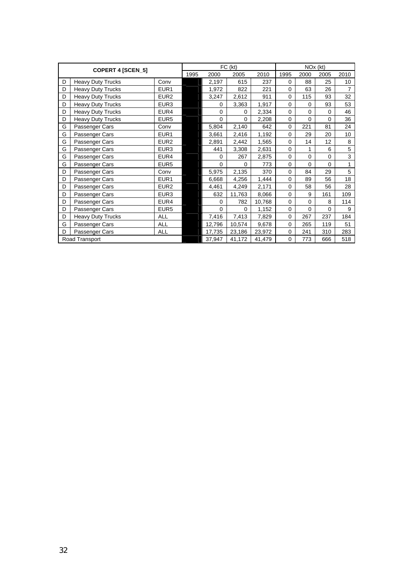|   | <b>COPERT 4 [SCEN_5]</b> |                  |      |          | FC (kt) |        |             | NO <sub>x</sub> (kt) |              |                 |
|---|--------------------------|------------------|------|----------|---------|--------|-------------|----------------------|--------------|-----------------|
|   |                          |                  | 1995 | 2000     | 2005    | 2010   | 1995        | 2000                 | 2005         | 2010            |
| D | <b>Heavy Duty Trucks</b> | Conv             |      | 2,197    | 615     | 237    | $\mathbf 0$ | 88                   | 25           | 10 <sup>1</sup> |
| D | <b>Heavy Duty Trucks</b> | EUR <sub>1</sub> |      | 1,972    | 822     | 221    | $\mathbf 0$ | 63                   | 26           | $\overline{7}$  |
| D | Heavy Duty Trucks        | EUR <sub>2</sub> |      | 3,247    | 2,612   | 911    | $\mathbf 0$ | 115                  | 93           | 32              |
| D | <b>Heavy Duty Trucks</b> | EUR <sub>3</sub> |      | $\Omega$ | 3,363   | 1,917  | $\mathbf 0$ | 0                    | 93           | 53              |
| D | Heavy Duty Trucks        | EUR4             |      | 0        | 0       | 2,334  | $\mathbf 0$ | $\mathbf 0$          | $\mathbf 0$  | 46              |
| D | <b>Heavy Duty Trucks</b> | EUR <sub>5</sub> |      | 0        | 0       | 2,208  | $\mathbf 0$ | $\Omega$             | 0            | 36              |
| G | Passenger Cars           | Conv             |      | 5,804    | 2,140   | 642    | $\mathbf 0$ | 221                  | 81           | 24              |
| G | Passenger Cars           | EUR <sub>1</sub> |      | 3,661    | 2,416   | 1,192  | $\mathbf 0$ | 29                   | 20           | 10              |
| G | Passenger Cars           | EUR <sub>2</sub> |      | 2,891    | 2,442   | 1,565  | $\mathbf 0$ | 14                   | 12           | 8               |
| G | Passenger Cars           | EUR <sub>3</sub> |      | 441      | 3,308   | 2,631  | $\mathbf 0$ | 1                    | 6            | 5               |
| G | Passenger Cars           | EUR4             |      | 0        | 267     | 2,875  | $\mathbf 0$ | $\mathbf 0$          | $\mathbf 0$  | 3               |
| G | Passenger Cars           | EUR <sub>5</sub> |      | $\Omega$ | 0       | 773    | $\mathbf 0$ | $\Omega$             | $\Omega$     | 1               |
| D | Passenger Cars           | Conv             |      | 5,975    | 2,135   | 370    | $\mathbf 0$ | 84                   | 29           | 5               |
| D | Passenger Cars           | EUR <sub>1</sub> |      | 6,668    | 4,256   | 1,444  | $\mathbf 0$ | 89                   | 56           | 18              |
| D | Passenger Cars           | EUR <sub>2</sub> |      | 4,461    | 4,249   | 2,171  | $\mathbf 0$ | 58                   | 56           | 28              |
| D | Passenger Cars           | EUR <sub>3</sub> |      | 632      | 11,763  | 8,066  | $\mathbf 0$ | 9                    | 161          | 109             |
| D | Passenger Cars           | EUR4             |      | $\Omega$ | 782     | 10,768 | $\mathbf 0$ | $\mathbf 0$          | 8            | 114             |
| D | Passenger Cars           | EUR <sub>5</sub> |      | $\Omega$ | 0       | 1,152  | $\mathbf 0$ | $\Omega$             | $\mathbf{0}$ | 9               |
| D | Heavy Duty Trucks        | <b>ALL</b>       |      | 7,416    | 7,413   | 7,829  | $\mathbf 0$ | 267                  | 237          | 184             |
| G | Passenger Cars           | <b>ALL</b>       |      | 12,796   | 10,574  | 9,678  | $\mathbf 0$ | 265                  | 119          | 51              |
| D | Passenger Cars           | <b>ALL</b>       |      | 17,735   | 23,186  | 23,972 | $\mathbf 0$ | 241                  | 310          | 283             |
|   | Road Transport           |                  |      | 37,947   | 41,172  | 41,479 | $\mathbf 0$ | 773                  | 666          | 518             |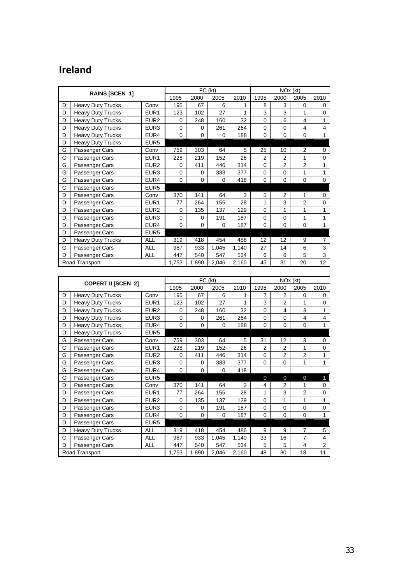# **Ireland**

|   | RAINS [SCEN_1]           |                  |             | FC (kt)     |          |       |                | NO <sub>x</sub> (kt) |                |                |
|---|--------------------------|------------------|-------------|-------------|----------|-------|----------------|----------------------|----------------|----------------|
|   |                          |                  | 1995        | 2000        | 2005     | 2010  | 1995           | 2000                 | 2005           | 2010           |
| D | <b>Heavy Duty Trucks</b> | Conv             | 195         | 67          | 6        | 1     | 8              | 3                    | 0              | 0              |
| D | <b>Heavy Duty Trucks</b> | EUR <sub>1</sub> | 123         | 102         | 27       | 1     | 3              | 3                    | 1              | $\Omega$       |
| D | <b>Heavy Duty Trucks</b> | EUR <sub>2</sub> | $\mathbf 0$ | 248         | 160      | 32    | $\Omega$       | 6                    | 4              | 1              |
| D | <b>Heavy Duty Trucks</b> | EUR <sub>3</sub> | $\mathbf 0$ | 0           | 261      | 264   | $\mathbf 0$    | 0                    | $\overline{4}$ | $\overline{4}$ |
| D | <b>Heavy Duty Trucks</b> | EUR4             | $\mathbf 0$ | 0           | 0        | 188   | $\Omega$       | 0                    | $\mathbf 0$    | 1              |
| D | <b>Heavy Duty Trucks</b> | EUR <sub>5</sub> |             |             |          |       |                |                      |                |                |
| G | Passenger Cars           | Conv             | 759         | 303         | 64       | 5     | 25             | 10                   | 2              | $\Omega$       |
| G | Passenger Cars           | EUR <sub>1</sub> | 228         | 219         | 152      | 26    | $\overline{2}$ | $\overline{2}$       | 1              | $\mathbf 0$    |
| G | Passenger Cars           | EUR <sub>2</sub> | 0           | 411         | 446      | 314   | $\Omega$       | $\overline{2}$       | $\overline{2}$ | 1              |
| G | Passenger Cars           | EUR <sub>3</sub> | $\mathbf 0$ | 0           | 383      | 377   | $\Omega$       | $\mathbf 0$          | 1              | 1              |
| G | Passenger Cars           | EUR4             | $\Omega$    | 0           | $\Omega$ | 418   | $\Omega$       | 0                    | $\mathbf 0$    | $\Omega$       |
| G | Passenger Cars           | EUR <sub>5</sub> |             |             |          |       |                |                      |                |                |
| D | Passenger Cars           | Conv             | 370         | 141         | 64       | 3     | 5              | $\overline{2}$       | 1              | 0              |
| D | Passenger Cars           | EUR <sub>1</sub> | 77          | 264         | 155      | 28    | 1              | 3                    | $\overline{2}$ | 0              |
| D | Passenger Cars           | EUR <sub>2</sub> | $\Omega$    | 135         | 137      | 129   | $\Omega$       | 1                    | 1              | 1              |
| D | Passenger Cars           | EUR <sub>3</sub> | $\Omega$    | 0           | 191      | 187   | $\Omega$       | 0                    | 1              | 1              |
| D | Passenger Cars           | EUR4             | $\Omega$    | $\mathbf 0$ | $\Omega$ | 187   | $\Omega$       | 0                    | $\mathbf 0$    | 1              |
| D | Passenger Cars           | EUR <sub>5</sub> |             |             |          |       |                |                      |                |                |
| D | <b>Heavy Duty Trucks</b> | <b>ALL</b>       | 319         | 418         | 454      | 486   | 12             | 12                   | 9              | $\overline{7}$ |
| G | Passenger Cars           | <b>ALL</b>       | 987         | 933         | 1,045    | 1,140 | 27             | 14                   | 6              | 3              |
| D | Passenger Cars           | <b>ALL</b>       | 447         | 540         | 547      | 534   | 6              | 6                    | 5              | 3              |
|   | Road Transport           |                  | 1,753       | 1,890       | 2,046    | 2,160 | 45             | 31                   | 20             | 12             |

|   | <b>COPERT II [SCEN_2]</b> |                  |             |             | FC (kt)  |       |                | NO <sub>x</sub> (kt) |                |                |
|---|---------------------------|------------------|-------------|-------------|----------|-------|----------------|----------------------|----------------|----------------|
|   |                           |                  | 1995        | 2000        | 2005     | 2010  | 1995           | 2000                 | 2005           | 2010           |
| D | <b>Heavy Duty Trucks</b>  | Conv             | 195         | 67          | 6        | 1     | $\overline{7}$ | $\overline{2}$       | 0              | 0              |
| D | <b>Heavy Duty Trucks</b>  | EUR1             | 123         | 102         | 27       | 1     | 3              | $\overline{2}$       | 1              | $\Omega$       |
| D | <b>Heavy Duty Trucks</b>  | EUR <sub>2</sub> | 0           | 248         | 160      | 32    | $\Omega$       | 4                    | 3              | 1              |
| D | <b>Heavy Duty Trucks</b>  | EUR <sub>3</sub> | $\Omega$    | $\Omega$    | 261      | 264   | $\Omega$       | $\Omega$             | 4              | $\overline{4}$ |
| D | <b>Heavy Duty Trucks</b>  | EUR4             | $\mathbf 0$ | 0           | 0        | 188   | $\mathbf 0$    | 0                    | $\mathbf 0$    | 1              |
| D | <b>Heavy Duty Trucks</b>  | EUR <sub>5</sub> |             |             |          |       |                |                      |                |                |
| G | Passenger Cars            | Conv             | 759         | 303         | 64       | 5     | 31             | 12                   | 3              | 0              |
| G | Passenger Cars            | EUR <sub>1</sub> | 228         | 219         | 152      | 26    | $\overline{2}$ | $\overline{2}$       | 1              | $\mathbf 0$    |
| G | Passenger Cars            | EUR <sub>2</sub> | 0           | 411         | 446      | 314   | $\Omega$       | $\overline{2}$       | $\overline{2}$ | 1              |
| G | Passenger Cars            | EUR <sub>3</sub> | $\Omega$    | $\mathbf 0$ | 383      | 377   | $\Omega$       | 0                    | 1              | 1              |
| G | Passenger Cars            | EUR4             | $\Omega$    | 0           | $\Omega$ | 418   |                |                      |                |                |
| G | Passenger Cars            | EUR <sub>5</sub> |             |             |          |       | $\Omega$       | $\overline{0}$       | $\overline{0}$ | $\mathbf{1}$   |
| D | Passenger Cars            | Conv             | 370         | 141         | 64       | 3     | 4              | $\overline{2}$       | 1              | $\Omega$       |
| D | Passenger Cars            | EUR1             | 77          | 264         | 155      | 28    | 1              | 3                    | $\overline{2}$ | $\mathbf 0$    |
| D | Passenger Cars            | EUR <sub>2</sub> | $\Omega$    | 135         | 137      | 129   | $\mathbf 0$    | 1                    | 1              | 1              |
| D | Passenger Cars            | EUR <sub>3</sub> | $\Omega$    | 0           | 191      | 187   | $\Omega$       | $\Omega$             | $\mathbf 0$    | $\mathbf 0$    |
| D | Passenger Cars            | EUR4             | $\Omega$    | 0           | 0        | 187   | $\Omega$       | $\Omega$             | $\mathbf 0$    | 1              |
| D | Passenger Cars            | EUR <sub>5</sub> |             |             |          |       |                |                      |                |                |
| D | <b>Heavy Duty Trucks</b>  | <b>ALL</b>       | 319         | 418         | 454      | 486   | 9              | 9                    | $\overline{7}$ | 5              |
| G | Passenger Cars            | <b>ALL</b>       | 987         | 933         | 1,045    | 1,140 | 33             | 16                   | $\overline{7}$ | 4              |
| D | Passenger Cars            | <b>ALL</b>       | 447         | 540         | 547      | 534   | 5              | 5                    | 4              | $\overline{2}$ |
|   | Road Transport            |                  | 1,753       | 1,890       | 2,046    | 2,160 | 48             | 30                   | 18             | 11             |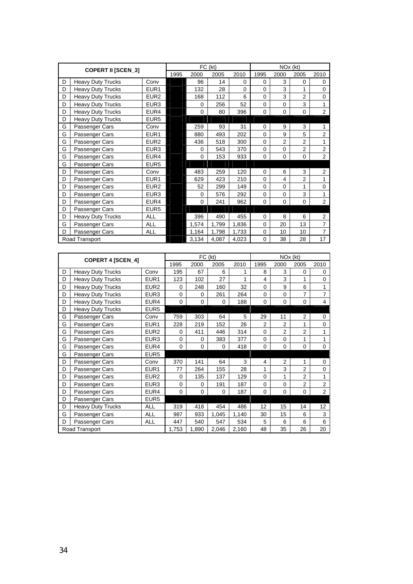|   | <b>COPERT II [SCEN_3]</b> |                  |      |             | FC (kt) |             |             |                | NOx (kt)       |                |
|---|---------------------------|------------------|------|-------------|---------|-------------|-------------|----------------|----------------|----------------|
|   |                           |                  | 1995 | 2000        | 2005    | 2010        | 1995        | 2000           | 2005           | 2010           |
| D | <b>Heavy Duty Trucks</b>  | Conv             |      | 96          | 14      | $\mathbf 0$ | 0           | 3              | 0              | 0              |
| D | <b>Heavy Duty Trucks</b>  | EUR <sub>1</sub> |      | 132         | 28      | $\Omega$    | $\Omega$    | 3              | 1              | $\mathbf{0}$   |
| D | <b>Heavy Duty Trucks</b>  | EUR <sub>2</sub> |      | 168         | 112     | 6           | $\Omega$    | 3              | 2              | 0              |
| D | <b>Heavy Duty Trucks</b>  | EUR <sub>3</sub> |      | $\mathbf 0$ | 256     | 52          | $\Omega$    | $\Omega$       | 3              |                |
| D | <b>Heavy Duty Trucks</b>  | EUR4             |      | $\Omega$    | 80      | 396         | $\Omega$    | $\Omega$       | 0              | $\overline{2}$ |
| D | <b>Heavy Duty Trucks</b>  | EUR <sub>5</sub> |      |             |         |             |             |                |                |                |
| G | Passenger Cars            | Conv             |      | 259         | 93      | 31          | $\Omega$    | 9              | 3              | 1              |
| G | Passenger Cars            | EUR <sub>1</sub> |      | 880         | 493     | 202         | $\mathbf 0$ | 9              | 5              | $\overline{2}$ |
| G | Passenger Cars            | EUR <sub>2</sub> |      | 436         | 518     | 300         | $\Omega$    | $\overline{2}$ | $\overline{2}$ | 1              |
| G | Passenger Cars            | EUR <sub>3</sub> |      | $\mathbf 0$ | 543     | 370         | $\mathbf 0$ | $\mathbf 0$    | $\overline{2}$ | $\overline{2}$ |
| G | Passenger Cars            | EUR4             |      | $\Omega$    | 153     | 933         | $\Omega$    | $\Omega$       | 0              | $\overline{2}$ |
| G | Passenger Cars            | EUR <sub>5</sub> |      |             |         |             |             |                |                |                |
| D | Passenger Cars            | Conv             |      | 483         | 259     | 120         | $\Omega$    | 6              | 3              | 2              |
| D | Passenger Cars            | EUR <sub>1</sub> |      | 629         | 423     | 210         | $\mathbf 0$ | 4              | $\overline{2}$ | 1              |
| D | Passenger Cars            | EUR <sub>2</sub> |      | 52          | 299     | 149         | 0           | $\Omega$       | 1              | 0              |
| D | Passenger Cars            | EUR <sub>3</sub> |      | $\mathbf 0$ | 576     | 292         | $\mathbf 0$ | $\mathbf 0$    | 3              | 1              |
| D | Passenger Cars            | EUR4             |      | $\mathbf 0$ | 241     | 962         | 0           | $\mathbf 0$    | 0              | $\overline{2}$ |
| D | Passenger Cars            | EUR <sub>5</sub> |      |             |         |             |             |                |                |                |
| D | <b>Heavy Duty Trucks</b>  | <b>ALL</b>       |      | 396         | 490     | 455         | $\Omega$    | 8              | 6              | 2              |
| G | Passenger Cars            | ALL              |      | 1,574       | 1,799   | 1,836       | $\Omega$    | 20             | 13             | $\overline{7}$ |
| D | Passenger Cars            | <b>ALL</b>       |      | 1,164       | 1,798   | 1,733       | $\mathbf 0$ | 10             | 10             | $\overline{7}$ |
|   | Road Transport            |                  |      | 3,134       | 4,087   | 4,023       | $\Omega$    | 38             | 28             | 17             |

| <b>COPERT 4 [SCEN_4]</b> |                          |                  |          | FC (kt)     |       |       | NO <sub>x</sub> (kt) |                |                |                |  |
|--------------------------|--------------------------|------------------|----------|-------------|-------|-------|----------------------|----------------|----------------|----------------|--|
|                          |                          |                  | 1995     | 2000        | 2005  | 2010  | 1995                 | 2000           | 2005           | 2010           |  |
| D                        | <b>Heavy Duty Trucks</b> | Conv             | 195      | 67          | 6     | 1     | 8                    | 3              | 0              | $\Omega$       |  |
| D                        | <b>Heavy Duty Trucks</b> | EUR <sub>1</sub> | 123      | 102         | 27    | 1     | 4                    | 3              | 1              | $\Omega$       |  |
| D                        | <b>Heavy Duty Trucks</b> | EUR <sub>2</sub> | $\Omega$ | 248         | 160   | 32    | 0                    | 9              | 6              | 1              |  |
| D                        | <b>Heavy Duty Trucks</b> | EUR <sub>3</sub> | $\Omega$ | $\Omega$    | 261   | 264   | $\mathbf{0}$         | $\Omega$       | 7              | $\overline{7}$ |  |
| D                        | <b>Heavy Duty Trucks</b> | EUR4             | $\Omega$ | 0           | 0     | 188   | 0                    | 0              | $\mathbf 0$    | $\overline{4}$ |  |
| D                        | <b>Heavy Duty Trucks</b> | EUR <sub>5</sub> |          |             |       |       |                      |                |                |                |  |
| G                        | Passenger Cars           | Conv             | 759      | 303         | 64    | 5     | 29                   | 11             | 2              | $\Omega$       |  |
| G                        | Passenger Cars           | EUR1             | 228      | 219         | 152   | 26    | $\overline{2}$       | $\overline{2}$ | 1              | $\mathbf 0$    |  |
| G                        | Passenger Cars           | EUR <sub>2</sub> | $\Omega$ | 411         | 446   | 314   | $\Omega$             | $\overline{2}$ | $\overline{2}$ | 1              |  |
| G                        | Passenger Cars           | EUR <sub>3</sub> | $\Omega$ | $\mathbf 0$ | 383   | 377   | $\Omega$             | 0              | 1              | 1              |  |
| G                        | Passenger Cars           | EUR4             | $\Omega$ | 0           | 0     | 418   | $\mathbf{0}$         | 0              | $\mathbf 0$    | $\Omega$       |  |
| G                        | Passenger Cars           | EUR <sub>5</sub> |          |             |       |       |                      |                |                |                |  |
| D                        | Passenger Cars           | Conv             | 370      | 141         | 64    | 3     | 4                    | $\overline{2}$ | 1              | 0              |  |
| D                        | Passenger Cars           | EUR <sub>1</sub> | 77       | 264         | 155   | 28    | 1                    | 3              | $\overline{2}$ | $\Omega$       |  |
| D                        | Passenger Cars           | EUR <sub>2</sub> | 0        | 135         | 137   | 129   | 0                    | 1              | $\overline{2}$ | 1              |  |
| D                        | Passenger Cars           | EUR <sub>3</sub> | $\Omega$ | 0           | 191   | 187   | $\Omega$             | 0              | $\overline{2}$ | $\overline{2}$ |  |
| D                        | Passenger Cars           | EUR4             | $\Omega$ | 0           | 0     | 187   | 0                    | 0              | $\mathbf 0$    | $\overline{2}$ |  |
| D                        | Passenger Cars           | EUR <sub>5</sub> |          |             |       |       |                      |                |                |                |  |
| D                        | <b>Heavy Duty Trucks</b> | <b>ALL</b>       | 319      | 418         | 454   | 486   | 12                   | 15             | 14             | 12             |  |
| G                        | Passenger Cars           | ALL              | 987      | 933         | 1,045 | 1,140 | 30                   | 15             | 6              | 3              |  |
| D                        | Passenger Cars           | <b>ALL</b>       | 447      | 540         | 547   | 534   | 5                    | 6              | 6              | 6              |  |
|                          | Road Transport           |                  | 1,753    | 1,890       | 2,046 | 2,160 | 48                   | 35             | 26             | 20             |  |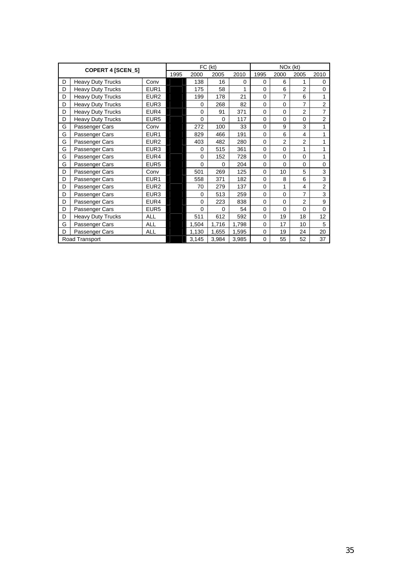|   | COPERT 4 [SCEN_5]        |                  |  |             | FC (kt)     |          | NOx (kt)    |                |                |                |  |
|---|--------------------------|------------------|--|-------------|-------------|----------|-------------|----------------|----------------|----------------|--|
|   |                          |                  |  | 2000        | 2005        | 2010     | 1995        | 2000           | 2005           | 2010           |  |
| D | <b>Heavy Duty Trucks</b> | Conv             |  | 138         | 16          | $\Omega$ | $\Omega$    | 6              | 1              | 0              |  |
| D | <b>Heavy Duty Trucks</b> | EUR <sub>1</sub> |  | 175         | 58          |          | $\Omega$    | 6              | 2              | 0              |  |
| D | <b>Heavy Duty Trucks</b> | EUR <sub>2</sub> |  | 199         | 178         | 21       | $\mathbf 0$ | 7              | 6              | 1              |  |
| D | <b>Heavy Duty Trucks</b> | EUR <sub>3</sub> |  | $\mathbf 0$ | 268         | 82       | $\mathbf 0$ | $\mathbf 0$    | $\overline{7}$ | $\overline{2}$ |  |
| D | <b>Heavy Duty Trucks</b> | EUR4             |  | $\mathbf 0$ | 91          | 371      | $\mathbf 0$ | $\Omega$       | $\overline{2}$ | $\overline{7}$ |  |
| D | <b>Heavy Duty Trucks</b> | EUR <sub>5</sub> |  | $\mathbf 0$ | $\mathbf 0$ | 117      | $\mathbf 0$ | $\mathbf 0$    | 0              | $\overline{c}$ |  |
| G | Passenger Cars           | Conv             |  | 272         | 100         | 33       | $\Omega$    | 9              | 3              | 1              |  |
| G | Passenger Cars           | EUR <sub>1</sub> |  | 829         | 466         | 191      | $\Omega$    | 6              | 4              | 1              |  |
| G | Passenger Cars           | EUR <sub>2</sub> |  | 403         | 482         | 280      | $\Omega$    | $\overline{2}$ | $\overline{2}$ | 1              |  |
| G | Passenger Cars           | EUR <sub>3</sub> |  | 0           | 515         | 361      | $\mathbf 0$ | $\mathbf 0$    | 1              | 1              |  |
| G | Passenger Cars           | EUR4             |  | $\mathbf 0$ | 152         | 728      | 0           | $\mathbf 0$    | 0              | 1              |  |
| G | Passenger Cars           | EUR <sub>5</sub> |  | $\mathbf 0$ | $\Omega$    | 204      | $\mathbf 0$ | $\Omega$       | 0              | 0              |  |
| D | Passenger Cars           | Conv             |  | 501         | 269         | 125      | $\mathbf 0$ | 10             | 5              | 3              |  |
| D | Passenger Cars           | EUR <sub>1</sub> |  | 558         | 371         | 182      | $\mathbf 0$ | 8              | 6              | 3              |  |
| D | Passenger Cars           | EUR <sub>2</sub> |  | 70          | 279         | 137      | $\Omega$    | 1              | $\overline{4}$ | $\overline{2}$ |  |
| D | Passenger Cars           | EUR <sub>3</sub> |  | $\mathbf 0$ | 513         | 259      | $\Omega$    | $\Omega$       | $\overline{7}$ | 3              |  |
| D | Passenger Cars           | EUR4             |  | $\mathbf 0$ | 223         | 838      | $\Omega$    | $\Omega$       | $\overline{2}$ | 9              |  |
| D | Passenger Cars           | EUR <sub>5</sub> |  | $\mathbf 0$ | 0           | 54       | $\mathbf 0$ | $\Omega$       | 0              | 0              |  |
| D | <b>Heavy Duty Trucks</b> | <b>ALL</b>       |  | 511         | 612         | 592      | $\mathbf 0$ | 19             | 18             | 12             |  |
| G | Passenger Cars           | <b>ALL</b>       |  | 1,504       | 1,716       | 1,798    | $\mathbf 0$ | 17             | 10             | 5              |  |
| D | Passenger Cars           | <b>ALL</b>       |  | 1,130       | 1,655       | 1,595    | $\mathbf 0$ | 19             | 24             | 20             |  |
|   | Road Transport           |                  |  | 3,145       | 3,984       | 3,985    | $\mathbf 0$ | 55             | 52             | 37             |  |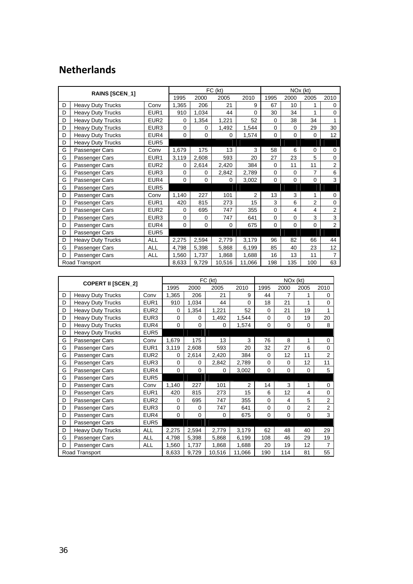# **Netherlands**

|   | RAINS [SCEN_1]           |                  |             |             | FC (kt)  |          | NO <sub>x</sub> (kt) |             |                |                 |  |
|---|--------------------------|------------------|-------------|-------------|----------|----------|----------------------|-------------|----------------|-----------------|--|
|   |                          |                  |             | 2000        | 2005     | 2010     | 1995                 | 2000        | 2005           | 2010            |  |
| D | <b>Heavy Duty Trucks</b> | Conv             | 1,365       | 206         | 21       | 9        | 67                   | 10          |                | 0               |  |
| D | <b>Heavy Duty Trucks</b> | EUR1             | 910         | 1,034       | 44       | $\Omega$ | 30                   | 34          |                | $\Omega$        |  |
| D | <b>Heavy Duty Trucks</b> | EUR <sub>2</sub> | 0           | 1,354       | 1,221    | 52       | 0                    | 38          | 34             | 1               |  |
| D | <b>Heavy Duty Trucks</b> | EUR3             | 0           | $\Omega$    | 1,492    | 1,544    | 0                    | 0           | 29             | 30              |  |
| D | <b>Heavy Duty Trucks</b> | EUR4             | 0           | $\Omega$    | 0        | 1,574    | 0                    | 0           | 0              | 12 <sup>2</sup> |  |
| D | <b>Heavy Duty Trucks</b> | EUR <sub>5</sub> |             |             |          |          |                      |             |                |                 |  |
| G | Passenger Cars           | Conv             | 1,679       | 175         | 13       | 3        | 58                   | 6           | 0              | 0               |  |
| G | Passenger Cars           | EUR <sub>1</sub> | 3,119       | 2,608       | 593      | 20       | 27                   | 23          | 5              | $\mathbf 0$     |  |
| G | Passenger Cars           | EUR <sub>2</sub> | 0           | 2,614       | 2,420    | 384      | $\Omega$             | 11          | 11             | $\overline{2}$  |  |
| G | Passenger Cars           | EUR <sub>3</sub> | 0           | $\Omega$    | 2,842    | 2,789    | 0                    | $\mathbf 0$ | 7              | 6               |  |
| G | Passenger Cars           | EUR4             | 0           | $\mathbf 0$ | $\Omega$ | 3,002    | 0                    | $\mathbf 0$ | 0              | 3               |  |
| G | Passenger Cars           | EUR <sub>5</sub> |             |             |          |          |                      |             |                |                 |  |
| D | Passenger Cars           | Conv             | 1,140       | 227         | 101      | 2        | 13                   | 3           | 1              | 0               |  |
| D | Passenger Cars           | EUR1             | 420         | 815         | 273      | 15       | 3                    | 6           | $\overline{2}$ | 0               |  |
| D | Passenger Cars           | EUR <sub>2</sub> | 0           | 695         | 747      | 355      | 0                    | 4           | 4              | $\overline{2}$  |  |
| D | Passenger Cars           | EUR <sub>3</sub> | $\mathbf 0$ | $\mathbf 0$ | 747      | 641      | 0                    | $\mathbf 0$ | 3              | 3               |  |
| D | Passenger Cars           | EUR4             | $\Omega$    | $\Omega$    | $\Omega$ | 675      | $\Omega$             | $\Omega$    | $\mathbf 0$    | $\overline{2}$  |  |
| D | Passenger Cars           | EUR <sub>5</sub> |             |             |          |          |                      |             |                |                 |  |
| D | <b>Heavy Duty Trucks</b> | <b>ALL</b>       | 2,275       | 2,594       | 2,779    | 3,179    | 96                   | 82          | 66             | 44              |  |
| G | Passenger Cars           | <b>ALL</b>       | 4,798       | 5,398       | 5,868    | 6,199    | 85                   | 40          | 23             | 12              |  |
| D | Passenger Cars           | <b>ALL</b>       | 1,560       | 1,737       | 1,868    | 1,688    | 16                   | 13          | 11             | $\overline{7}$  |  |
|   | Road Transport           |                  | 8,633       | 9,729       | 10,516   | 11,066   | 198                  | 135         | 100            | 63              |  |

|   | <b>COPERT II [SCEN_2]</b> |                  |             |             | FC (kt)     |          | NO <sub>x</sub> (kt) |             |                |                |  |
|---|---------------------------|------------------|-------------|-------------|-------------|----------|----------------------|-------------|----------------|----------------|--|
|   |                           |                  | 1995        | 2000        | 2005        | 2010     | 1995                 | 2000        | 2005           | 2010           |  |
| D | <b>Heavy Duty Trucks</b>  | Conv             | 1,365       | 206         | 21          | 9        | 44                   | 7           | 1              | 0              |  |
| D | <b>Heavy Duty Trucks</b>  | EUR <sub>1</sub> | 910         | 1,034       | 44          | $\Omega$ | 18                   | 21          | 1              | 0              |  |
| D | <b>Heavy Duty Trucks</b>  | EUR <sub>2</sub> | 0           | 1,354       | 1,221       | 52       | $\Omega$             | 21          | 19             | 1              |  |
| D | <b>Heavy Duty Trucks</b>  | EUR <sub>3</sub> | $\mathbf 0$ | 0           | 1,492       | 1,544    | 0                    | $\mathbf 0$ | 19             | 20             |  |
| D | <b>Heavy Duty Trucks</b>  | EUR4             | $\Omega$    | $\mathbf 0$ | $\Omega$    | 1,574    | $\Omega$             | $\Omega$    | 0              | 8              |  |
| D | <b>Heavy Duty Trucks</b>  | EUR <sub>5</sub> |             |             |             |          |                      |             |                |                |  |
| G | Passenger Cars            | Conv             | 1,679       | 175         | 13          | 3        | 76                   | 8           | 1              | 0              |  |
| G | Passenger Cars            | EUR <sub>1</sub> | 3,119       | 2,608       | 593         | 20       | 32                   | 27          | 6              | $\mathbf 0$    |  |
| G | Passenger Cars            | EUR <sub>2</sub> | 0           | 2,614       | 2,420       | 384      | $\mathbf 0$          | 12          | 11             | $\overline{2}$ |  |
| G | Passenger Cars            | EUR <sub>3</sub> | $\mathbf 0$ | 0           | 2,842       | 2,789    | $\Omega$             | $\Omega$    | 12             | 11             |  |
| G | Passenger Cars            | EUR4             | 0           | $\mathbf 0$ | $\mathbf 0$ | 3,002    | 0                    | $\mathbf 0$ | 0              | 5              |  |
| G | Passenger Cars            | EUR <sub>5</sub> |             |             |             |          |                      |             |                |                |  |
| D | Passenger Cars            | Conv             | 1,140       | 227         | 101         | 2        | 14                   | 3           | 1              | 0              |  |
| D | Passenger Cars            | EUR <sub>1</sub> | 420         | 815         | 273         | 15       | 6                    | 12          | 4              | $\mathbf 0$    |  |
| D | Passenger Cars            | EUR <sub>2</sub> | 0           | 695         | 747         | 355      | $\mathbf 0$          | 4           | 5              | $\overline{2}$ |  |
| D | Passenger Cars            | EUR <sub>3</sub> | $\mathbf 0$ | $\mathbf 0$ | 747         | 641      | $\Omega$             | $\mathbf 0$ | $\overline{2}$ | $\overline{2}$ |  |
| D | Passenger Cars            | EUR4             | $\mathbf 0$ | $\mathbf 0$ | 0           | 675      | $\mathbf 0$          | $\mathbf 0$ | $\mathbf 0$    | 3              |  |
| D | Passenger Cars            | EUR <sub>5</sub> |             |             |             |          |                      |             |                |                |  |
| D | <b>Heavy Duty Trucks</b>  | <b>ALL</b>       | 2,275       | 2,594       | 2,779       | 3,179    | 62                   | 48          | 40             | 29             |  |
| G | Passenger Cars            | <b>ALL</b>       | 4,798       | 5,398       | 5,868       | 6,199    | 108                  | 46          | 29             | 19             |  |
| D | Passenger Cars            | <b>ALL</b>       | 1,560       | 1,737       | 1,868       | 1,688    | 20                   | 19          | 12             | $\overline{7}$ |  |
|   | Road Transport            |                  | 8,633       | 9,729       | 10,516      | 11,066   | 190                  | 114         | 81             | 55             |  |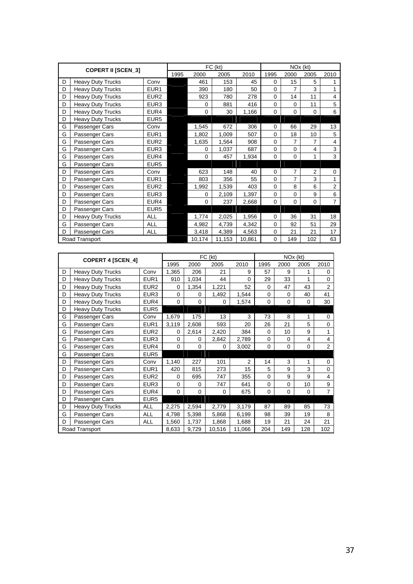|   | <b>COPERT II [SCEN_3]</b> |                  |      |             | FC (kt) |        | NO <sub>x</sub> (kt) |                |                |                |  |
|---|---------------------------|------------------|------|-------------|---------|--------|----------------------|----------------|----------------|----------------|--|
|   |                           |                  | 1995 | 2000        | 2005    | 2010   | 1995                 | 2000           | 2005           | 2010           |  |
| D | <b>Heavy Duty Trucks</b>  | Conv             |      | 461         | 153     | 45     | 0                    | 15             | 5              |                |  |
| D | <b>Heavy Duty Trucks</b>  | EUR <sub>1</sub> |      | 390         | 180     | 50     | 0                    | 7              | 3              |                |  |
| D | <b>Heavy Duty Trucks</b>  | EUR <sub>2</sub> |      | 923         | 780     | 278    | 0                    | 14             | 11             | 4              |  |
| D | <b>Heavy Duty Trucks</b>  | EUR <sub>3</sub> |      | $\mathbf 0$ | 881     | 416    | 0                    | $\Omega$       | 11             | 5              |  |
| D | <b>Heavy Duty Trucks</b>  | EUR4             |      | $\Omega$    | 30      | 1,166  | 0                    | $\Omega$       | $\mathbf 0$    | 6              |  |
| D | <b>Heavy Duty Trucks</b>  | EUR <sub>5</sub> |      |             |         |        |                      |                |                |                |  |
| G | Passenger Cars            | Conv             |      | 1,545       | 672     | 306    | $\Omega$             | 66             | 29             | 13             |  |
| G | Passenger Cars            | EUR1             |      | 1,802       | 1,009   | 507    | 0                    | 18             | 10             | 5              |  |
| G | Passenger Cars            | EUR <sub>2</sub> |      | 1,635       | 1,564   | 908    | $\Omega$             | $\overline{7}$ | $\overline{7}$ | 4              |  |
| G | Passenger Cars            | EUR <sub>3</sub> |      | $\mathbf 0$ | 1,037   | 687    | 0                    | $\Omega$       | $\overline{4}$ | 3              |  |
| G | Passenger Cars            | EUR4             |      | $\Omega$    | 457     | 1,934  | 0                    | $\Omega$       | 1              | 3              |  |
| G | Passenger Cars            | EUR <sub>5</sub> |      |             |         |        |                      |                |                |                |  |
| D | Passenger Cars            | Conv             |      | 623         | 148     | 40     | 0                    | 7              | $\overline{2}$ | 0              |  |
| D | Passenger Cars            | EUR <sub>1</sub> |      | 803         | 356     | 55     | 0                    | 7              | 3              | 1              |  |
| D | Passenger Cars            | EUR <sub>2</sub> |      | 1,992       | 1,539   | 403    | 0                    | 8              | 6              | 2              |  |
| D | Passenger Cars            | EUR <sub>3</sub> |      | $\mathbf 0$ | 2,109   | 1,397  | 0                    | 0              | 9              | 6              |  |
| D | Passenger Cars            | EUR4             |      | $\mathbf 0$ | 237     | 2,668  | 0                    | $\Omega$       | 0              | $\overline{7}$ |  |
| D | Passenger Cars            | EUR <sub>5</sub> |      |             |         |        |                      |                |                |                |  |
| D | <b>Heavy Duty Trucks</b>  | ALL              |      | 1,774       | 2,025   | 1,956  | 0                    | 36             | 31             | 18             |  |
| G | Passenger Cars            | ALL              |      | 4,982       | 4,739   | 4,342  | 0                    | 92             | 51             | 29             |  |
| D | Passenger Cars            | ALL              |      | 3,418       | 4,389   | 4,563  | 0                    | 21             | 21             | 17             |  |
|   | Road Transport            |                  |      | 10,174      | 11,153  | 10,861 | 0                    | 149            | 102            | 63             |  |

| <b>COPERT 4 [SCEN_4]</b> |                          |                  |             |             | FC (kt)     | NO <sub>x</sub> (kt) |             |             |                |                |
|--------------------------|--------------------------|------------------|-------------|-------------|-------------|----------------------|-------------|-------------|----------------|----------------|
|                          |                          |                  | 1995        | 2000        | 2005        | 2010                 | 1995        | 2000        | 2005           | 2010           |
| D                        | <b>Heavy Duty Trucks</b> | Conv             | 1,365       | 206         | 21          | 9                    | 57          | 9           | 1              | 0              |
| D                        | <b>Heavy Duty Trucks</b> | EUR <sub>1</sub> | 910         | 1,034       | 44          | $\Omega$             | 29          | 33          | 1              | 0              |
| D                        | <b>Heavy Duty Trucks</b> | EUR <sub>2</sub> | 0           | 1,354       | 1,221       | 52                   | $\Omega$    | 47          | 43             | $\overline{2}$ |
| D                        | <b>Heavy Duty Trucks</b> | EUR <sub>3</sub> | $\mathbf 0$ | 0           | 1,492       | 1,544                | $\Omega$    | $\mathbf 0$ | 40             | 41             |
| D                        | <b>Heavy Duty Trucks</b> | EUR4             | $\mathbf 0$ | $\mathbf 0$ | 0           | 1,574                | 0           | $\mathbf 0$ | 0              | 30             |
| D                        | <b>Heavy Duty Trucks</b> | EUR <sub>5</sub> |             |             |             |                      |             |             |                |                |
| G                        | Passenger Cars           | Conv             | 1,679       | 175         | 13          | 3                    | 73          | 8           | 1              | 0              |
| G                        | Passenger Cars           | EUR <sub>1</sub> | 3,119       | 2,608       | 593         | 20                   | 26          | 21          | 5              | $\mathbf 0$    |
| G                        | Passenger Cars           | EUR <sub>2</sub> | $\mathbf 0$ | 2,614       | 2,420       | 384                  | $\Omega$    | 10          | 9              | 1              |
| G                        | Passenger Cars           | EUR <sub>3</sub> | $\mathbf 0$ | 0           | 2,842       | 2,789                | $\mathbf 0$ | 0           | $\overline{4}$ | $\overline{4}$ |
| G                        | Passenger Cars           | EUR4             | $\Omega$    | $\Omega$    | $\Omega$    | 3,002                | $\Omega$    | $\Omega$    | $\Omega$       | $\overline{2}$ |
| G                        | Passenger Cars           | EUR <sub>5</sub> |             |             |             |                      |             |             |                |                |
| D                        | Passenger Cars           | Conv             | 1,140       | 227         | 101         | $\overline{2}$       | 14          | 3           | 1              | 0              |
| D                        | Passenger Cars           | EUR <sub>1</sub> | 420         | 815         | 273         | 15                   | 5           | 9           | 3              | $\Omega$       |
| D                        | Passenger Cars           | EUR <sub>2</sub> | 0           | 695         | 747         | 355                  | $\mathbf 0$ | 9           | 9              | $\overline{4}$ |
| D                        | Passenger Cars           | EUR <sub>3</sub> | 0           | $\mathbf 0$ | 747         | 641                  | $\mathbf 0$ | 0           | 10             | 9              |
| D                        | Passenger Cars           | EUR4             | $\mathbf 0$ | $\mathbf 0$ | $\mathbf 0$ | 675                  | $\mathbf 0$ | $\mathbf 0$ | $\Omega$       | $\overline{7}$ |
| D                        | Passenger Cars           | EUR <sub>5</sub> |             |             |             |                      |             |             |                |                |
| D                        | <b>Heavy Duty Trucks</b> | <b>ALL</b>       | 2,275       | 2,594       | 2,779       | 3,179                | 87          | 89          | 85             | 73             |
| G                        | Passenger Cars           | <b>ALL</b>       | 4,798       | 5,398       | 5,868       | 6,199                | 98          | 39          | 19             | 8              |
| D                        | Passenger Cars           | <b>ALL</b>       | 1,560       | 1,737       | 1,868       | 1,688                | 19          | 21          | 24             | 21             |
|                          | Road Transport           |                  | 8,633       | 9,729       | 10,516      | 11,066               | 204         | 149         | 128            | 102            |